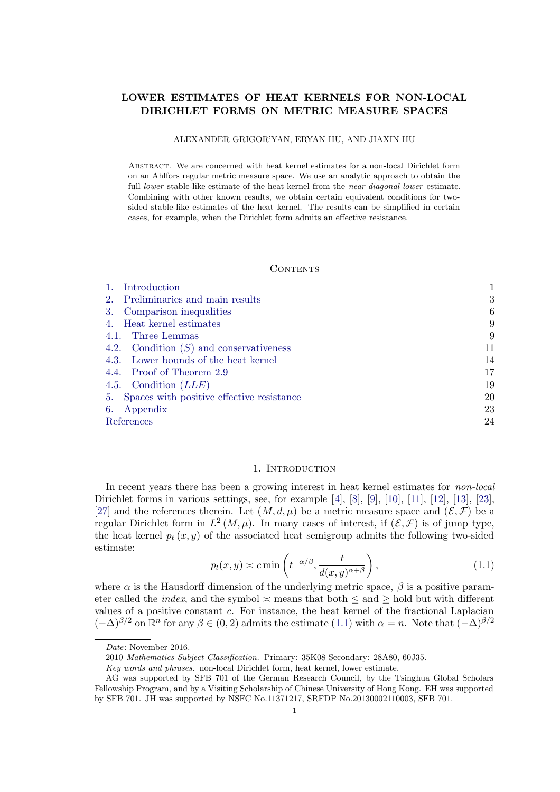# <span id="page-0-0"></span>LOWER ESTIMATES OF HEAT KERNELS FOR NON-LOCAL DIRICHLET FORMS ON METRIC MEASURE SPACES

### ALEXANDER GRIGOR'YAN, ERYAN HU, AND JIAXIN HU

Abstract. We are concerned with heat kernel estimates for a non-local Dirichlet form on an Ahlfors regular metric measure space. We use an analytic approach to obtain the full lower stable-like estimate of the heat kernel from the *near diagonal lower* estimate. Combining with other known results, we obtain certain equivalent conditions for twosided stable-like estimates of the heat kernel. The results can be simplified in certain cases, for example, when the Dirichlet form admits an effective resistance.

# **CONTENTS**

| Introduction<br>$\mathbf{1}$ .               |    |
|----------------------------------------------|----|
| 2. Preliminaries and main results            | 3  |
| 3. Comparison inequalities                   | 6  |
| 4. Heat kernel estimates                     | 9  |
| 4.1. Three Lemmas                            | 9  |
| 4.2. Condition $(S)$ and conservativeness    | 11 |
| 4.3. Lower bounds of the heat kernel         | 14 |
| 4.4. Proof of Theorem 2.9                    | 17 |
| 4.5. Condition $(LLE)$                       | 19 |
| 5. Spaces with positive effective resistance | 20 |
| 6. Appendix                                  | 23 |
| References                                   | 24 |

### 1. INTRODUCTION

In recent years there has been a growing interest in heat kernel estimates for non-local Dirichlet forms in various settings, see, for example  $[4]$ ,  $[8]$ ,  $[9]$ ,  $[10]$ ,  $[11]$ ,  $[12]$ ,  $[13]$ ,  $[23]$ , [27] and the references therein. Let  $(M, d, \mu)$  be a metric measure space and  $(\mathcal{E}, \mathcal{F})$  be a regular Dirichlet form in  $L^2(M,\mu)$ . In many cases of interest, if  $(\mathcal{E},\mathcal{F})$  is of jump type, the heat kernel  $p_t(x, y)$  of the associated heat semigroup admits the following two-sided estimate:

$$
p_t(x, y) \asymp c \min\left(t^{-\alpha/\beta}, \frac{t}{d(x, y)^{\alpha+\beta}}\right),\tag{1.1}
$$

where  $\alpha$  is the Hausdorff dimension of the underlying metric space,  $\beta$  is a positive parameter called the *index*, and the symbol  $\leq$  means that both  $\leq$  and  $\geq$  hold but with different values of a positive constant  $c$ . For instance, the heat kernel of the fractional Laplacian  $(-\Delta)^{\beta/2}$  on  $\mathbb{R}^n$  for any  $\beta \in (0, 2)$  admits the estimate  $(1.1)$  with  $\alpha = n$ . Note that  $(-\Delta)^{\beta/2}$ 

Date: November 2016.

<sup>2010</sup> Mathematics Subject Classification. Primary: 35K08 Secondary: 28A80, 60J35.

Key words and phrases. non-local Dirichlet form, heat kernel, lower estimate.

AG was supported by SFB 701 of the German Research Council, by the Tsinghua Global Scholars Fellowship Program, and by a Visiting Scholarship of Chinese University of Hong Kong. EH was supported by SFB 701. JH was supported by NSFC No.11371217, SRFDP No.20130002110003, SFB 701.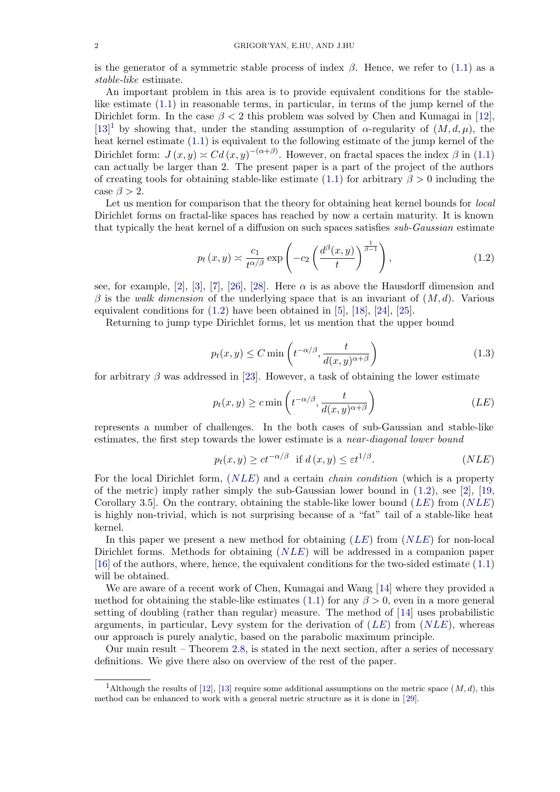is the generator of a symmetric stable process of index  $\beta$ . Hence, we refer to (1.1) as a stable-like estimate.

An important problem in this area is to provide equivalent conditions for the stablelike estimate (1.1) in reasonable terms, in particular, in terms of the jump kernel of the Dirichlet form. In the case  $\beta < 2$  this problem was solved by Chen and Kumag[ai](#page-0-0) [in](#page-0-0) [12],  $[13]$ <sup>1</sup> by showing that, under the standing assumption of  $\alpha$ -regularity of  $(M, d, \mu)$ , the heat kernel estimate (1.1) is equivalent to the following estimate of the jump kernel of the Dirichlet form:  $J(x, y) \approx C d(x, y)^{-(\alpha+\beta)}$  $J(x, y) \approx C d(x, y)^{-(\alpha+\beta)}$ . However, on fractal spaces the index  $\beta$  in (1.1) can [a](#page-21-0)ctually be larger than 2. The present paper is a part of the project of the aut[hor](#page-24-0)s [of](#page-24-0) [c](#page-24-0)reating tools for o[bta](#page-0-0)ining stable-like estimate (1.1) for arbitrary  $\beta > 0$  including the case  $\beta > 2$ .

Let us mention for comparison that the theory for obtaining heat kernel bounds for *[loca](#page-0-0)l* Dirichlet forms on fractal-like spaces has reached by now a certain maturity. It is known that typically the heat kernel of a diffusion on such [spac](#page-0-0)es satisfies sub-Gaussian estimate

$$
p_t(x,y) \asymp \frac{c_1}{t^{\alpha/\beta}} \exp\left(-c_2 \left(\frac{d^{\beta}(x,y)}{t}\right)^{\frac{1}{\beta-1}}\right),\tag{1.2}
$$

see, for example, [2], [3], [7], [26], [28]. Here  $\alpha$  is as above the Hausdorff dimension and  $\beta$  is the walk dimension of the underlying space that is an invariant of  $(M, d)$ . Various equivalent conditions for  $(1.2)$  have been obtained in [5], [18], [24], [25].

Returning to jump type Dirichlet forms, let us mention that the upper bound

$$
p_t(x,y) \le C \min\left(t^{-\alpha/\beta}, \frac{t}{d(x,y)^{\alpha+\beta}}\right) \tag{1.3}
$$

for arbitrary  $\beta$  was addressed in [23]. However, a task of obtaining the lower estimate

$$
p_t(x, y) \ge c \min\left(t^{-\alpha/\beta}, \frac{t}{d(x, y)^{\alpha+\beta}}\right) \tag{LE}
$$

represents a number of challeng[es.](#page-24-0) In the both cases of sub-Gaussian and stable-like estimates, the first step towards the lower estimate is a *near-diagonal lower bound* 

$$
p_t(x, y) \ge ct^{-\alpha/\beta} \text{ if } d(x, y) \le \varepsilon t^{1/\beta}. \tag{NLE}
$$

For the local Dirichlet form,  $(NLE)$  and a certain *chain condition* (which is a property of the metric) imply rather simply the sub-Gaussian lower bound in  $(1.2)$ , see [2], [19, Corollary 3.5. On the contrary, obtaining the stable-like lower bound  $(LE)$  from  $(NLE)$ is highly non-trivial, which is not surprising because of a "fat" tail of a stable-like heat kernel.

In this paper we present a new method for obtaining  $(LE)$  from  $(NLE)$  for n[on](#page-23-0)-lo[ca](#page-24-0)l Dirichlet forms. Methods for obtaining  $(NLE)$  will be addressed in a companion paper [16] of the authors, where, hence, the equivalent conditions for the two-sided estimate (1.1) will be obtained.

We are aware of a recent work of Chen, Kumagai and Wang [14] where they provided a method for obtaining the stable-like estimates (1.1) for any  $\beta > 0$ , even in a more general [sett](#page-24-0)ing of doubling (rather than regular) measure. The method of [14] uses probabil[istic](#page-0-0) arguments, in particular, Levy system for the derivation of  $(LE)$  from  $(NLE)$ , whereas our approach is purely analytic, based on the parabolic maxim[um](#page-24-0) principle.

Our main result – Theorem 2.8, is stated in t[he](#page-0-0) next section, after a series of necessary definitions. We give there also on overview of the rest of the paper.

<sup>&</sup>lt;sup>1</sup>Although the results of [12], [13] require some additional assumptions on the metric space  $(M, d)$ , this method can be enhanced to work wi[th](#page-4-0) [a](#page-4-0) general metric structure as it is done in [29].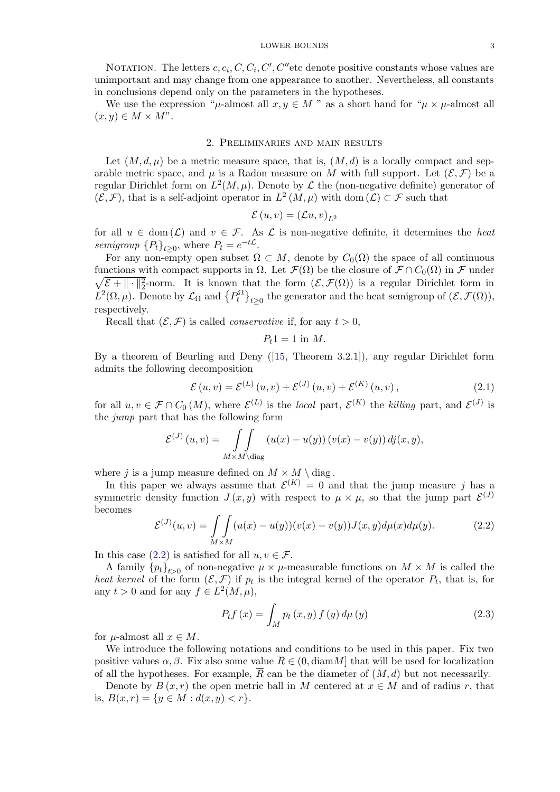<span id="page-2-0"></span>NOTATION. The letters  $c, c_i, C, C_i, C', C''$  etc denote positive constants whose values are unimportant and may change from one appearance to another. Nevertheless, all constants in conclusions depend only on the parameters in the hypotheses.

We use the expression " $\mu$ -almost all  $x, y \in M$ " as a short hand for " $\mu \times \mu$ -almost all  $(x, y) \in M \times M$ ".

### 2. Preliminaries and main results

Let  $(M, d, \mu)$  be a metric measure space, that is,  $(M, d)$  is a locally compact and separable metric space, and  $\mu$  is a Radon measure on M with full support. Let  $(\mathcal{E}, \mathcal{F})$  be a regular Dirichlet form on  $L^2(M,\mu)$ . Denote by  $\mathcal L$  the (non-negative definite) generator of  $(\mathcal{E}, \mathcal{F})$ , that is a self-adjoint operator in  $L^2(M, \mu)$  with dom  $(\mathcal{L}) \subset \mathcal{F}$  such that

$$
\mathcal{E}(u,v) = (\mathcal{L}u,v)_{L^2}
$$

for all  $u \in \text{dom}(\mathcal{L})$  and  $v \in \mathcal{F}$ . As  $\mathcal L$  is non-negative definite, it determines the heat semigroup  ${P_t}_{t>0}$ , where  $P_t = e^{-t\mathcal{L}}$ .

For any non-empty open subset  $\Omega \subset M$ , denote by  $C_0(\Omega)$  the space of all continuous functions with compact supports in  $\Omega$ . Let  $\mathcal{F}(\Omega)$  be the closure of  $\mathcal{F} \cap C_0(\Omega)$  in  $\mathcal{F}$  under  $\sqrt{\mathcal{E} + \| \cdot \|_2^2}$ -norm. It is known that the form  $(\mathcal{E}, \mathcal{F}(\Omega))$  is a regular Dirichlet form in  $L^2(\Omega, \mu)$ . Denote by  $\mathcal{L}_{\Omega}$  and  $\{P_t^{\Omega}\}_{t\geq 0}$  the generator and the heat semigroup of  $(\mathcal{E}, \mathcal{F}(\Omega)),$ respectively.

Recall that  $(\mathcal{E}, \mathcal{F})$  is called *conservative* if, for any  $t > 0$ ,

$$
P_t 1 = 1
$$
 in  $M$ .

By a theorem of Beurling and Deny ([15, Theorem 3.2.1]), any regular Dirichlet form admits the following decomposition

$$
\mathcal{E}(u, v) = \mathcal{E}^{(L)}(u, v) + \mathcal{E}^{(J)}(u, v) + \mathcal{E}^{(K)}(u, v),
$$
\n(2.1)

for all  $u, v \in \mathcal{F} \cap C_0(M)$  $u, v \in \mathcal{F} \cap C_0(M)$  $u, v \in \mathcal{F} \cap C_0(M)$ , where  $\mathcal{E}^{(L)}$  is the local part,  $\mathcal{E}^{(K)}$  the killing part, and  $\mathcal{E}^{(J)}$  is the jump part that has the following form

$$
\mathcal{E}^{(J)}(u,v) = \iint_{M \times M \setminus diag} (u(x) - u(y)) (v(x) - v(y)) d\dot{y}(x, y),
$$

where j is a jump measure defined on  $M \times M \setminus diag$ .

In this paper we always assume that  $\mathcal{E}^{(K)} = 0$  and that the jump measure j has a symmetric density function  $J(x, y)$  with respect to  $\mu \times \mu$ , so that the jump part  $\mathcal{E}^{(J)}$ becomes

$$
\mathcal{E}^{(J)}(u,v) = \iint_{M \times M} (u(x) - u(y))(v(x) - v(y))J(x,y)d\mu(x)d\mu(y).
$$
 (2.2)

In this case (2.2) is satisfied for all  $u, v \in \mathcal{F}$ .

A family  ${p_t}_{t>0}$  of non-negative  $\mu \times \mu$ -measurable functions on  $M \times M$  is called the heat kernel of the form  $(\mathcal{E}, \mathcal{F})$  if  $p_t$  is the integral kernel of the operator  $P_t$ , that is, for any  $t > 0$  and for any  $f \in L^2(M, \mu)$ ,

$$
P_{t}f(x) = \int_{M} p_{t}(x, y) f(y) d\mu(y)
$$
\n(2.3)

for  $\mu$ -almost all  $x \in M$ .

We introduce the following notations and conditions to be used in this paper. Fix two positive values  $\alpha, \beta$ . Fix also some value  $R \in (0, \text{diam }M]$  that will be used for localization of all the hypotheses. For example,  $\overline{R}$  can be the diameter of  $(M, d)$  but not necessarily.

Denote by  $B(x, r)$  the open metric ball in M centered at  $x \in M$  and of radius r, that is,  $B(x,r) = \{y \in M : d(x,y) < r\}.$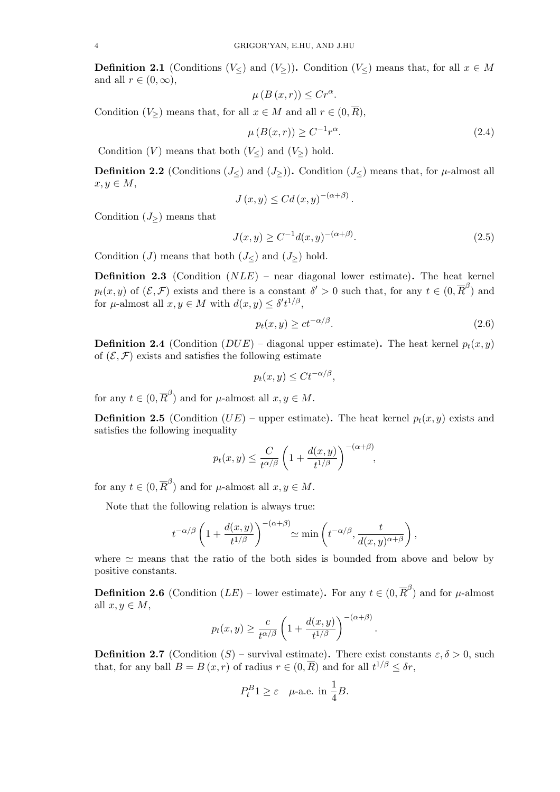**Definition 2.1** (Conditions  $(V<sub>></sub>)$  and  $(V<sub>></sub>)$ ). Condition  $(V)$  means that, for all  $x \in M$ and all  $r \in (0, \infty)$ ,

$$
\mu(B(x,r)) \le Cr^{\alpha}.
$$

Condition  $(V_{\geq})$  means that, for all  $x \in M$  and all  $r \in (0, \overline{R})$ ,

$$
\mu(B(x,r)) \ge C^{-1}r^{\alpha}.\tag{2.4}
$$

Condition  $(V)$  means that both  $(V)$  and  $(V<sub>></sub>)$  hold.

**Definition 2.2** (Conditions  $(J)$ ) and  $(J<sub>></sub>)$ ). Condition  $(J)$  means that, for  $\mu$ -almost all  $x, y \in M$ ,

$$
J(x,y) \leq C d(x,y)^{-(\alpha+\beta)}.
$$

Condition  $(J_{\geq})$  means that

$$
J(x,y) \ge C^{-1}d(x,y)^{-(\alpha+\beta)}.
$$
\n(2.5)

Condition  $(J)$  means that both  $(J<)$  and  $(J>)$  hold.

**Definition 2.3** (Condition  $(NLE)$  – near diagonal lower estimate). The heat kernel  $p_t(x, y)$  of  $(\mathcal{E}, \mathcal{F})$  exists and there is a constant  $\delta' > 0$  such that, for any  $t \in (0, \overline{R}^{\beta})$  and for  $\mu$ -almost all  $x, y \in M$  with  $d(x, y) \leq \delta' t^{1/\beta}$ ,

$$
p_t(x,y) \geq ct^{-\alpha/\beta}.\tag{2.6}
$$

.

**Definition 2.4** (Condition  $(DUE)$  – diagonal upper estimate). The heat kernel  $p_t(x, y)$ of  $(\mathcal{E}, \mathcal{F})$  exists and satisfies the following estimate

$$
p_t(x, y) \le Ct^{-\alpha/\beta},
$$

for any  $t \in (0, \overline{R}^{\beta})$  and for  $\mu$ -almost all  $x, y \in M$ .

**Definition 2.5** (Condition  $(UE)$  – upper estimate). The heat kernel  $p_t(x, y)$  exists and satisfies the following inequality

$$
p_t(x, y) \leq \frac{C}{t^{\alpha/\beta}} \left(1 + \frac{d(x, y)}{t^{1/\beta}}\right)^{-(\alpha+\beta)},
$$

for any  $t \in (0, \overline{R}^{\beta})$  and for  $\mu$ -almost all  $x, y \in M$ .

Note that the following relation is always true:

$$
t^{-\alpha/\beta} \left(1 + \frac{d(x,y)}{t^{1/\beta}}\right)^{-(\alpha+\beta)} \simeq \min\left(t^{-\alpha/\beta}, \frac{t}{d(x,y)^{\alpha+\beta}}\right),
$$

where  $\simeq$  means that the ratio of the both sides is bounded from above and below by positive constants.

**Definition 2.6** (Condition  $(LE)$  – lower estimate). For any  $t \in (0, \overline{R}^{\beta})$  and for  $\mu$ -almost all  $x, y \in M$ ,

$$
p_t(x,y) \ge \frac{c}{t^{\alpha/\beta}} \left( 1 + \frac{d(x,y)}{t^{1/\beta}} \right)^{-(\alpha+\beta)}
$$

**Definition 2.7** (Condition  $(S)$  – survival estimate). There exist constants  $\varepsilon, \delta > 0$ , such that, for any ball  $B = B(x, r)$  of radius  $r \in (0, \overline{R})$  and for all  $t^{1/\beta} \leq \delta r$ ,

$$
P_t^B 1 \ge \varepsilon \quad \text{$\mu$-a.e. in $\frac{1}{4}B$.}
$$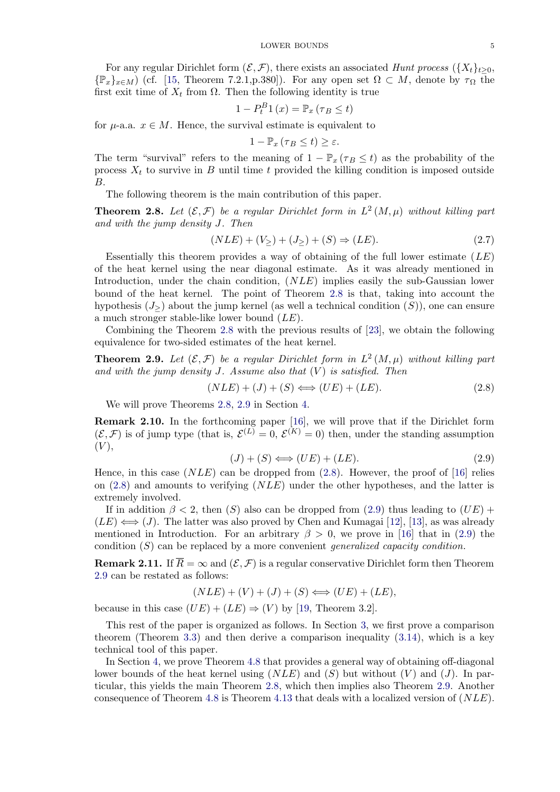<span id="page-4-0"></span>For any regular Dirichlet form  $(\mathcal{E}, \mathcal{F})$ , there exists an associated Hunt process  $({X_t}_{t\geq0}$ ,  $\{\mathbb{P}_x\}_{x\in M}$  (cf. [15, Theorem 7.2.1,p.380]). For any open set  $\Omega \subset M$ , denote by  $\tau_{\Omega}$  the first exit time of  $X_t$  from  $\Omega$ . Then the following identity is true

$$
1 - P_t^B 1(x) = \mathbb{P}_x (\tau_B \le t)
$$

for  $\mu$ -a[.](#page-24-0)a.  $x \in M$ . Hence, the survival estimate is equivalent to

$$
1-\mathbb{P}_x\left(\tau_B\leq t\right)\geq\varepsilon.
$$

The term "survival" refers to the meaning of  $1 - \mathbb{P}_x (\tau_B \leq t)$  as the probability of the process  $X_t$  to survive in B until time t provided the killing condition is imposed outside B.

The following theorem is the main contribution of this paper.

**Theorem 2.8.** Let  $(\mathcal{E}, \mathcal{F})$  be a regular Dirichlet form in  $L^2(M, \mu)$  without killing part and with the jump density J. Then

$$
(NLE) + (V_{\ge}) + (J_{\ge}) + (S) \Rightarrow (LE). \tag{2.7}
$$

Essentially this theorem provides a way of obtaining of the full lower estimate  $(LE)$ of the heat kernel using the near diagonal estimate. As it was already mentioned in Introduction, under the chain condition, (NLE) implies easily the sub-Gaussian lower bound of the heat kernel. The point of Theorem 2.8 is that, taking into account the hypothesis  $(J>$ ) about the jump kernel (as well a technical condition  $(S)$ ), one can ensure a much stronger stable-like lower bound  $(LE)$ .

Combining the Theorem 2.8 with the previous results of [23], we obtain the following equivalence for two-sided estimates of the heat kernel.

**Theorem 2.9.** Let  $(\mathcal{E}, \mathcal{F})$  be a regular Dirichlet form in  $L^2(M, \mu)$  without killing part and with the jump density  $J$ . Assume also that  $(V)$  is satisfi[ed.](#page-24-0) Then

$$
(NLE) + (J) + (S) \Longleftrightarrow (UE) + (LE). \tag{2.8}
$$

We will prove Theorems 2.8, 2.9 in Section 4.

Remark 2.10. In the forthcoming paper [16], we will prove that if the Dirichlet form  $(\mathcal{E}, \mathcal{F})$  is of jump type (that is,  $\mathcal{E}^{(L)} = 0$ ,  $\mathcal{E}^{(K)} = 0$ ) then, under the standing assumption  $(V),$ 

$$
(J) + (S) \Longleftrightarrow (UE) + (LE). \tag{2.9}
$$

Hence, in this case  $(NLE)$  can be dropped [fro](#page-24-0)m  $(2.8)$ . However, the proof of [16] relies on  $(2.8)$  and amounts to verifying  $(NLE)$  under the other hypotheses, and the latter is extremely involved.

If in addition  $\beta$  < 2, then (S) also can be dropped from (2.9) thus leading to  $(UE)$  +  $(LE) \iff (J)$ . The latter w[as](#page-24-0) [a](#page-24-0)lso proved by Chen and Kumagai [12], [13], as was already mentioned in Introduction. For an arbitrary  $\beta > 0$ , we prove in [16] that in (2.9) the condition  $(S)$  can be replaced by a more convenient *generalized capacity condition*.

**Remark 2.11.** If  $\overline{R} = \infty$  and  $(\mathcal{E}, \mathcal{F})$  is a regular conservative Diric[hle](#page-24-0)t [form](#page-24-0) then Theorem 2.9 can be restated as follows:

$$
(NLE) + (V) + (J) + (S) \Longleftrightarrow (UE) + (LE),
$$

because in this case  $(UE) + (LE) \Rightarrow (V)$  by [19, Theorem 3.2].

This rest of the paper is organized as follows. In Section 3, we first prove a comparison theorem (Theorem 3.3) and then derive a comparison inequality (3.14), which is a key technical tool of this paper.

In Section 4, we prove Theorem 4.8 that pr[ovid](#page-24-0)es a general way of obtaining off-diagonal lo[w](#page-5-0)er bounds of the heat kernel using  $(NLE)$  and  $(S)$  but without  $(V)$  and  $(J)$ . In particular, this yields t[he](#page-5-0) [m](#page-5-0)ain Theorem 2.8, which then implies also [Theor](#page-8-0)em 2.9. Another consequence of Theorem 4.8 is Theorem 4.13 that deals with a localized version of (NLE).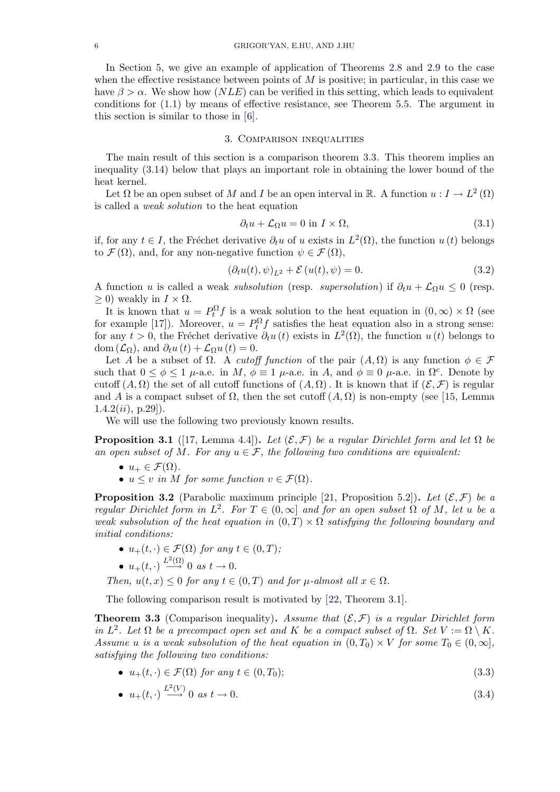<span id="page-5-0"></span>In Section 5, we give an example of application of Theorems 2.8 and 2.9 to the case when the effective resistance between points of  $M$  is positive; in particular, in this case we have  $\beta > \alpha$ . We show how  $(NLE)$  can be verified in this setting, which leads to equivalent conditions for (1.1) by means of effective resistance, see Theorem 5.5. The argument in this section is [s](#page-19-0)imilar to those in [6].

# 3. Comparison inequalities

The main re[sult](#page-0-0) of this section [is](#page-24-0) a comparison theorem 3.3. T[his](#page-21-0) [t](#page-21-0)heorem implies an inequality (3.14) below that plays an important role in obtaining the lower bound of the heat kernel.

Let  $\Omega$  be an open subset of M and I be an open interval in R. A function  $u: I \to L^2(\Omega)$ is called a weak solution to the heat equation

$$
\partial_t u + \mathcal{L}_{\Omega} u = 0 \text{ in } I \times \Omega,
$$
\n(3.1)

if, for any  $t \in I$ , the Fréchet derivative  $\partial_t u$  of u exists in  $L^2(\Omega)$ , the function  $u(t)$  belongs to  $\mathcal{F}(\Omega)$ , and, for any non-negative function  $\psi \in \mathcal{F}(\Omega)$ ,

$$
(\partial_t u(t), \psi)_{L^2} + \mathcal{E}(u(t), \psi) = 0.
$$
\n(3.2)

A function u is called a weak *subsolution* (resp. *supersolution*) if  $\partial_t u + \mathcal{L}_{\Omega} u \leq 0$  (resp.  $\geq$  0) weakly in  $I \times \Omega$ .

It is known that  $u = P_t^{\Omega} f$  is a weak solution to the heat equation in  $(0, \infty) \times \Omega$  (see for example [17]). Moreover,  $u = P_t^{\Omega} f$  satisfies the heat equation also in a strong sense: for any  $t > 0$ , the Fréchet derivative  $\partial_t u(t)$  exists in  $L^2(\Omega)$ , the function  $u(t)$  belongs to dom  $(\mathcal{L}_{\Omega})$ , and  $\partial_t u(t) + \mathcal{L}_{\Omega} u(t) = 0$ .

Let A be a subset of  $\Omega$ . A *cutoff function* of the pair  $(A, \Omega)$  is any function  $\phi \in \mathcal{F}$ such that  $0 \le \phi \le 1$   $\mu$ -a.e. in M,  $\phi \equiv 1$   $\mu$ -a.e. in A, and  $\phi \equiv 0$   $\mu$ -a.e. in  $\Omega^c$ . Denote by cutoff  $(A, \Omega)$  the set of all cutoff functions of  $(A, \Omega)$ . It is known that if  $(\mathcal{E}, \mathcal{F})$  is regular and A is a compact subset of  $\Omega$ , then the set cutoff  $(A, \Omega)$  is non-empty (see [15, Lemma  $1.4.2(ii), p.29]$ ).

We will use the following two previously known results.

**Proposition 3.1** ([17, Lemma 4.4]). Let  $(\mathcal{E}, \mathcal{F})$  be a regular Dirichlet form a[nd](#page-24-0) let  $\Omega$  be an open subset of M. For any  $u \in \mathcal{F}$ , the following two conditions are equivalent:

- $u_+ \in \mathcal{F}(\Omega)$ .
- $u \leq v$  in M [for](#page-24-0) some function  $v \in \mathcal{F}(\Omega)$ .

**Proposition 3.2** (Parabolic maximum principle [21, Proposition 5.2]). Let  $(\mathcal{E}, \mathcal{F})$  be a regular Dirichlet form in  $L^2$ . For  $T \in (0,\infty]$  and for an open subset  $\Omega$  of M, let u be a weak subsolution of the heat equation in  $(0,T) \times \Omega$  satisfying the following boundary and initial conditions:

- $u_{+}(t, \cdot) \in \mathcal{F}(\Omega)$  for any  $t \in (0, T)$ ;
- $u_+(t, \cdot) \stackrel{L^2(\Omega)}{\longrightarrow} 0$  as  $t \to 0$ .

Then,  $u(t, x) \leq 0$  for any  $t \in (0, T)$  and for  $\mu$ -almost all  $x \in \Omega$ .

The following comparison result is motivated by [22, Theorem 3.1].

**Theorem 3.3** (Comparison inequality). Assume that  $(\mathcal{E}, \mathcal{F})$  is a regular Dirichlet form in  $L^2$ . Let  $\Omega$  be a precompact open set and K be a compact subset of  $\Omega$ . Set  $V := \Omega \setminus K$ . Assume u is a weak subsolution of the heat equatio[n in](#page-24-0)  $(0,T_0) \times V$  for some  $T_0 \in (0,\infty)$ , satisfying the following two conditions:

•  $u_{+}(t, \cdot) \in \mathcal{F}(\Omega)$  for any  $t \in (0, T_0);$  (3.3)

• 
$$
u_{+}(t, \cdot) \xrightarrow{L^{2}(V)} 0 \text{ as } t \to 0.
$$
 (3.4)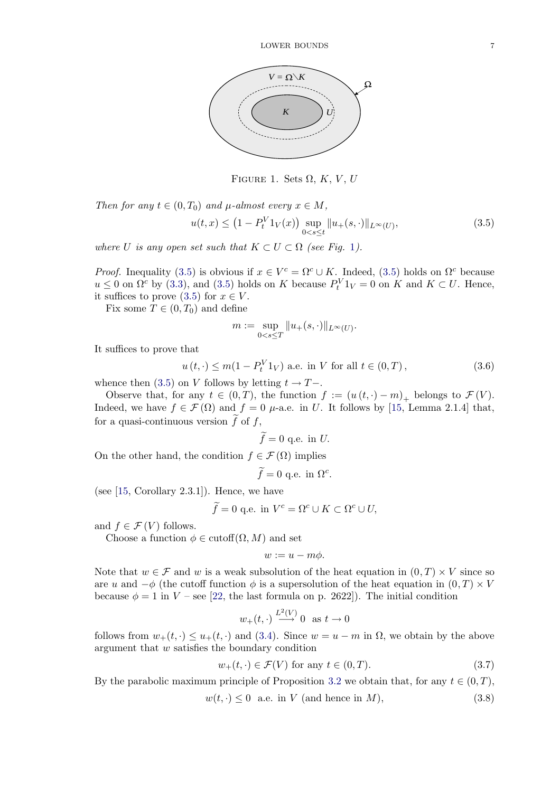

FIGURE 1. Sets  $\Omega$ , K, V, U

<span id="page-6-0"></span>Then for any  $t \in (0, T_0)$  and  $\mu$ -almost every  $x \in M$ ,  $u(t, x) \leq (1 - P_t^V 1_V(x)) \sup_{0 \leq t \leq t}$  $\sup_{0 < s \leq t} \| u_+(s, \cdot) \|_{L^\infty(U)},$ (3.5)

where U is any open set such that  $K \subset U \subset \Omega$  (see Fig. 1).

*Proof.* Inequality (3.5) is obvious if  $x \in V^c = \Omega^c \cup K$ . Indeed, (3.5) holds on  $\Omega^c$  because  $u \leq 0$  on  $\Omega^c$  by (3.3), and (3.5) holds on K because  $P_t^V 1_V = 0$  on K and  $K \subset U$ . Hence, it suffices to prove  $(3.5)$  for  $x \in V$ .

Fix some  $T \in (0, T_0)$  and define

$$
m := \sup_{0 < s \le T} \| u_+(s, \cdot) \|_{L^\infty(U)}.
$$

It suffices to prove that

$$
u(t, \cdot) \le m(1 - P_t^V 1_V)
$$
 a.e. in V for all  $t \in (0, T)$ ,  $(3.6)$ 

whence then (3.5) on V follows by letting  $t \to T-$ .

Observe that, for any  $t \in (0,T)$ , the function  $f := (u(t, \cdot) - m)_+$  belongs to  $\mathcal{F}(V)$ . Indeed, we have  $f \in \mathcal{F}(\Omega)$  and  $f = 0$   $\mu$ -a.e. in U. It follows by [15, Lemma 2.1.4] that, for a quasi-continuous version  $f$  of  $f$ ,

$$
\tilde{f} = 0
$$
 q.e. in U.

On the other hand, the condition  $f \in \mathcal{F}(\Omega)$  implies

$$
\widetilde{f} = 0 \text{ q.e. in } \Omega^c.
$$

(see  $[15, Corollary 2.3.1]$ ). Hence, we have

$$
\widetilde{f} = 0 \text{ q.e. in } V^c = \Omega^c \cup K \subset \Omega^c \cup U,
$$

and  $f \in \mathcal{F}(V)$  follows.

C[hoo](#page-24-0)se a function  $\phi \in \text{cutoff}(\Omega, M)$  and set

$$
w:=u-m\phi.
$$

Note that  $w \in \mathcal{F}$  and w is a weak subsolution of the heat equation in  $(0, T) \times V$  since so are u and  $-\phi$  (the cutoff function  $\phi$  is a supersolution of the heat equation in  $(0, T) \times V$ because  $\phi = 1$  in  $V$  – see [22, the last formula on p. 2622]). The initial condition

$$
w_+(t, \cdot) \xrightarrow{L^2(V)} 0
$$
 as  $t \to 0$ 

follows from  $w_+(t, \cdot) \leq u_+(t, \cdot)$  and (3.4). Since  $w = u - m$  in  $\Omega$ , we obtain by the above argument that w satisfies [the](#page-24-0) boundary condition

$$
w_{+}(t,\cdot) \in \mathcal{F}(V) \text{ for any } t \in (0,T). \tag{3.7}
$$

By the parabolic maximum principle [of](#page-5-0) Proposition 3.2 we obtain that, for any  $t \in (0, T)$ ,

$$
w(t, \cdot) \le 0 \quad \text{a.e. in } V \text{ (and hence in } M),\tag{3.8}
$$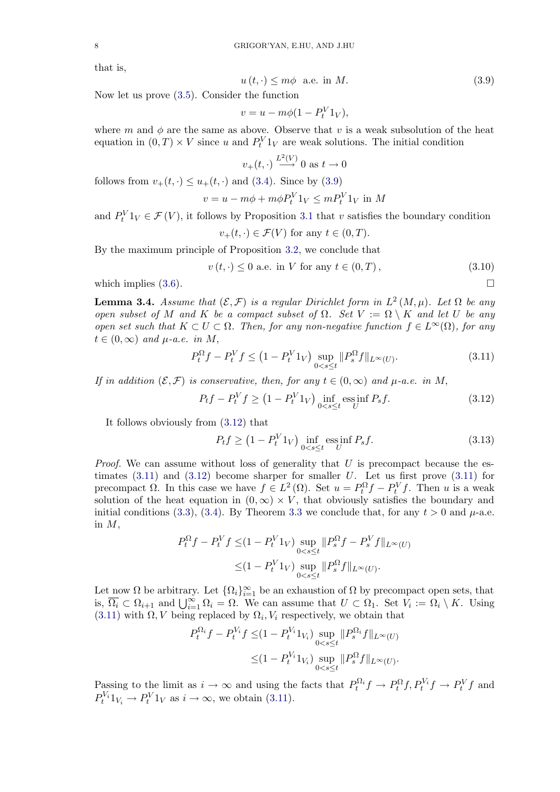that is,

$$
u(t, \cdot) \le m\phi \quad \text{a.e. in } M. \tag{3.9}
$$

Now let us prove (3.5). Consider the function

$$
v = u - m\phi(1 - P_t^V 1_V),
$$

where m and  $\phi$  are the same as above. Observe that v is a weak subsolution of the heat equation in  $(0, T) \times V$  $(0, T) \times V$  since u and  $P_t^V 1_V$  are weak solutions. The initial condition

$$
v_{+}(t, \cdot) \xrightarrow{L^{2}(V)} 0
$$
 as  $t \to 0$ 

follows from  $v_+(t, \cdot) \leq u_+(t, \cdot)$  and (3.4). Since by (3.9)

$$
v = u - m\phi + m\phi P_t^V 1_V \le mP_t^V 1_V \text{ in } M
$$

and  $P_t^V 1_V \in \mathcal{F}(V)$ , it follows by Proposition 3.1 that v satisfies the boundary condition

$$
v_{+}(t,\cdot) \in \mathcal{F}(V) \text{ for any } t \in (0,T).
$$

By the maximum principle of Proposition 3.2, we conclude that

$$
v(t, \cdot) \le 0
$$
 a.e. in V for any  $t \in (0, T)$ ,  $(3.10)$ 

which implies  $(3.6)$ .

**Lemma 3.4.** Assume that  $(\mathcal{E}, \mathcal{F})$  is a reg[ular](#page-5-0) Dirichlet form in  $L^2(M, \mu)$ . Let  $\Omega$  be any open subset of M and K be a compact subset of  $\Omega$ . Set  $V := \Omega \setminus K$  and let U be any open set such t[hat](#page-6-0)  $K \subset U \subset \Omega$ . Then, for any non-negative function  $f \in L^{\infty}(\Omega)$ , for any  $t \in (0,\infty)$  and  $\mu$ -a.e. in M,

$$
P_t^{\Omega} f - P_t^V f \le (1 - P_t^V 1_V) \sup_{0 < s \le t} \| P_s^{\Omega} f \|_{L^\infty(U)}.\tag{3.11}
$$

If in addition  $(\mathcal{E}, \mathcal{F})$  is conservative, then, for any  $t \in (0, \infty)$  and  $\mu$ -a.e. in M,

$$
P_t f - P_t^V f \ge (1 - P_t^V 1_V) \inf_{0 < s \le t} \operatorname{ess\,inf}_{U} P_s f. \tag{3.12}
$$

It follows obviously from (3.12) that

$$
P_t f \ge \left(1 - P_t^V 1_V\right) \inf_{0 < s \le t} \operatorname{ess\,inf}_{U} P_s f. \tag{3.13}
$$

*Proof.* We can assume without loss of generality that  $U$  is precompact because the estimates  $(3.11)$  and  $(3.12)$  become sharper for smaller U. Let us first prove  $(3.11)$  for precompact  $\Omega$ . In this case we have  $f \in L^2(\Omega)$ . Set  $u = P_t^{\Omega} f - P_t^V f$ . Then u is a weak solution of the heat equation in  $(0, \infty) \times V$ , that obviously satisfies the boundary and initial conditions (3.3), (3.4). By Theorem 3.3 we conclude that, for any  $t > 0$  and  $\mu$ -a.e. in  $M$ ,

$$
P_t^{\Omega} f - P_t^V f \le (1 - P_t^V 1_V) \sup_{0 < s \le t} \| P_s^{\Omega} f - P_s^V f \|_{L^{\infty}(U)}
$$
  
 
$$
\le (1 - P_t^V 1_V) \sup_{0 < s \le t} \| P_s^{\Omega} f \|_{L^{\infty}(U)}.
$$

Let now  $\Omega$  be arbitrary. Let  $\{\Omega_i\}_{i=1}^{\infty}$  be an exhaustion of  $\Omega$  by precompact open sets, that is,  $\overline{\Omega_i} \subset \Omega_{i+1}$  and  $\bigcup_{i=1}^{\infty} \Omega_i = \Omega$ . We can assume that  $U \subset \Omega_1$ . Set  $V_i := \Omega_i \setminus K$ . Using (3.11) with  $\Omega$ , V being replaced by  $\Omega_i$ ,  $V_i$  respectively, we obtain that

$$
P_t^{\Omega_i} f - P_t^{V_i} f \leq (1 - P_t^{V_i} 1_{V_i}) \sup_{0 < s \leq t} \| P_s^{\Omega_i} f \|_{L^\infty(U)}
$$
\n
$$
\leq (1 - P_t^{V_i} 1_{V_i}) \sup_{0 < s \leq t} \| P_s^{\Omega} f \|_{L^\infty(U)}.
$$

Passing to the limit as  $i \to \infty$  and using the facts that  $P_t^{\Omega_i} f \to P_t^{\Omega} f, P_t^{V_i} f \to P_t^V f$  and  $P_t^{V_i}1_{V_i} \to P_t^V1_V$  as  $i \to \infty$ , we obtain (3.11).

<span id="page-7-0"></span>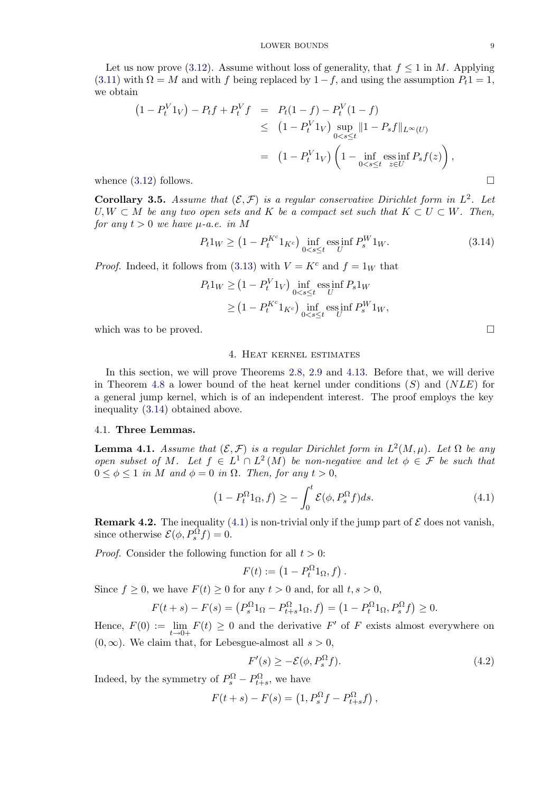<span id="page-8-0"></span>Let us now prove (3.12). Assume without loss of generality, that  $f \leq 1$  in M. Applying (3.11) with  $\Omega = M$  and with f being replaced by  $1-f$ , and using the assumption  $P_t 1 = 1$ , we obtain

$$
(1 - P_t^V 1_V) - P_t f + P_t^V f = P_t (1 - f) - P_t^V (1 - f)
$$
  
\n
$$
\leq (1 - P_t^V 1_V) \sup_{0 < s \leq t} ||1 - P_s f||_{L^{\infty}(U)}
$$
  
\n
$$
= (1 - P_t^V 1_V) \left(1 - \inf_{0 < s \leq t} \underset{z \in U}{\text{ess inf}} P_s f(z)\right),
$$
  
\nwhence (3.12) follows.

Corollary 3.5. Assume that  $(\mathcal{E}, \mathcal{F})$  is a regular conservative Dirichlet form in  $L^2$ . Let  $U, W \subset M$  be any two open sets and K be a compact set such that  $K \subset U \subset W$ . Then, for any  $t > 0$  $t > 0$  $t > 0$  we have  $\mu$ -a.e. in M

$$
P_t 1_W \ge \left(1 - P_t^{K^c} 1_{K^c}\right) \inf_{0 < s \le t} \operatorname{ess\,inf}_{U} P_s^W 1_W. \tag{3.14}
$$

*Proof.* Indeed, it follows from (3.13) with  $V = K^c$  and  $f = 1_W$  that

$$
P_t 1_W \ge (1 - P_t^V 1_V) \inf_{0 < s \le t} \operatorname{ess\,inf}_{U} P_s 1_W
$$
\n
$$
\ge (1 - P_t^{K^c} 1_{K^c}) \inf_{0 < s \le t} \operatorname{ess\,inf}_{U} P_s^W 1_W,
$$

which was to be proved.  $\square$ 

#### 4. Heat kernel estimates

In this section, we will prove Theorems 2.8, 2.9 and 4.13. Before that, we will derive in Theorem 4.8 a lower bound of the heat kernel under conditions  $(S)$  and  $(NLE)$  for a general jump kernel, which is of an independent interest. The proof employs the key inequality (3.14) obtained above.

# 4.1. Three [Lem](#page-13-0)mas.

**Lemma 4.1.** Assume that  $(\mathcal{E}, \mathcal{F})$  is a regular Dirichlet form in  $L^2(M, \mu)$ . Let  $\Omega$  be any open subset of M. Let  $f \in L^1 \cap L^2(M)$  be non-negative and let  $\phi \in \mathcal{F}$  be such that  $0 \leq \phi \leq 1$  in M and  $\phi = 0$  in  $\Omega$ . Then, for any  $t > 0$ ,

$$
(1 - P_t^{\Omega} 1_{\Omega}, f) \ge -\int_0^t \mathcal{E}(\phi, P_s^{\Omega} f) ds.
$$
 (4.1)

**Remark 4.2.** The inequality (4.1) is non-trivial only if the jump part of  $\mathcal E$  does not vanish, since otherwise  $\mathcal{E}(\phi, P_s^{\Omega} f) = 0$ .

*Proof.* Consider the following function for all  $t > 0$ :

$$
F(t) := \left(1 - P_t^{\Omega} 1_{\Omega}, f\right).
$$

Since  $f \geq 0$ , we have  $F(t) \geq 0$  for any  $t > 0$  and, for all  $t, s > 0$ ,

$$
F(t+s) - F(s) = (P_s^{\Omega}1_{\Omega} - P_{t+s}^{\Omega}1_{\Omega}, f) = (1 - P_t^{\Omega}1_{\Omega}, P_s^{\Omega}f) \ge 0.
$$

Hence,  $F(0) := \lim_{t \to 0+} F(t) \ge 0$  and the derivative  $F'$  of F exists almost everywhere on  $(0, \infty)$ . We claim that, for Lebesgue-almost all  $s > 0$ ,

$$
F'(s) \ge -\mathcal{E}(\phi, P_s^{\Omega} f). \tag{4.2}
$$

Indeed, by the symmetry of  $P_s^{\Omega} - P_{t+s}^{\Omega}$ , we have

$$
F(t+s) - F(s) = \left(1, P_s^{\Omega} f - P_{t+s}^{\Omega} f\right),
$$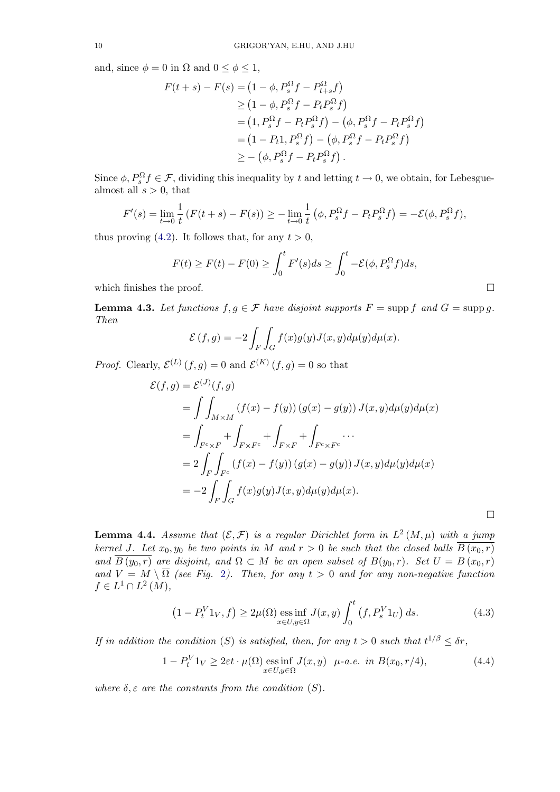<span id="page-9-0"></span>and, since  $\phi = 0$  in  $\Omega$  and  $0 \le \phi \le 1$ ,

$$
F(t+s) - F(s) = (1 - \phi, P_s^{\Omega} f - P_{t+s}^{\Omega} f)
$$
  
\n
$$
\geq (1 - \phi, P_s^{\Omega} f - P_t P_s^{\Omega} f)
$$
  
\n
$$
= (1, P_s^{\Omega} f - P_t P_s^{\Omega} f) - (\phi, P_s^{\Omega} f - P_t P_s^{\Omega} f)
$$
  
\n
$$
= (1 - P_t 1, P_s^{\Omega} f) - (\phi, P_s^{\Omega} f - P_t P_s^{\Omega} f)
$$
  
\n
$$
\geq - (\phi, P_s^{\Omega} f - P_t P_s^{\Omega} f).
$$

Since  $\phi$ ,  $P_s^{\Omega} f \in \mathcal{F}$ , dividing this inequality by t and letting  $t \to 0$ , we obtain, for Lebesguealmost all  $s > 0$ , that

$$
F'(s) = \lim_{t \to 0} \frac{1}{t} \left( F(t+s) - F(s) \right) \ge - \lim_{t \to 0} \frac{1}{t} \left( \phi, P_s^{\Omega} f - P_t P_s^{\Omega} f \right) = -\mathcal{E}(\phi, P_s^{\Omega} f),
$$

thus proving (4.2). It follows that, for any  $t > 0$ ,

$$
F(t) \ge F(t) - F(0) \ge \int_0^t F'(s)ds \ge \int_0^t -\mathcal{E}(\phi, P_s^{\Omega} f)ds,
$$

which finishes [the](#page-8-0) proof.  $\Box$ 

**Lemma 4.3.** Let functions  $f, g \in \mathcal{F}$  have disjoint supports  $F = \text{supp } f$  and  $G = \text{supp } g$ . Then

$$
\mathcal{E}(f,g) = -2 \int_F \int_G f(x)g(y)J(x,y)d\mu(y)d\mu(x).
$$

*Proof.* Clearly,  $\mathcal{E}^{(L)}(f,g) = 0$  and  $\mathcal{E}^{(K)}(f,g) = 0$  so that

$$
\mathcal{E}(f,g) = \mathcal{E}^{(J)}(f,g)
$$
  
= 
$$
\int\int_{M\times M} (f(x) - f(y)) (g(x) - g(y)) J(x,y) d\mu(y) d\mu(x)
$$
  
= 
$$
\int_{F^c \times F} + \int_{F \times F^c} + \int_{F \times F} + \int_{F^c \times F^c} \cdots
$$
  
= 
$$
2 \int_F \int_{F^c} (f(x) - f(y)) (g(x) - g(y)) J(x,y) d\mu(y) d\mu(x)
$$
  
= 
$$
-2 \int_F \int_G f(x)g(y) J(x,y) d\mu(y) d\mu(x).
$$

**Lemma 4.4.** Assume that  $(\mathcal{E}, \mathcal{F})$  is a regular Dirichlet form in  $L^2(M, \mu)$  with a jump kernel J. Let  $x_0, y_0$  be two points in M and  $r > 0$  be such that the closed balls  $\overline{B(x_0,r)}$ and  $\overline{B(y_0,r)}$  are disjoint, and  $\Omega \subset M$  be an open subset of  $B(y_0,r)$ . Set  $U = B(x_0,r)$ and  $V = M \setminus \overline{\Omega}$  (see Fig. 2). Then, for any  $t > 0$  and for any non-negative function  $f \in L^1 \cap L^2(M)$ ,

$$
(1 - P_t^V 1_V, f) \ge 2\mu(\Omega) \underset{x \in U, y \in \Omega}{\text{ess inf}} J(x, y) \int_0^t (f, P_s^V 1_U) ds. \tag{4.3}
$$

If in addition the condition (S) is satisfied, then, for any  $t > 0$  such that  $t^{1/\beta} \leq \delta r$ ,

$$
1 - P_t^V 1_V \ge 2\varepsilon t \cdot \mu(\Omega) \underset{x \in U, y \in \Omega}{\text{ess inf}} J(x, y) \quad \mu\text{-}a.e. \text{ in } B(x_0, r/4), \tag{4.4}
$$

where  $\delta, \varepsilon$  are the constants from the condition  $(S)$ .

 $\Box$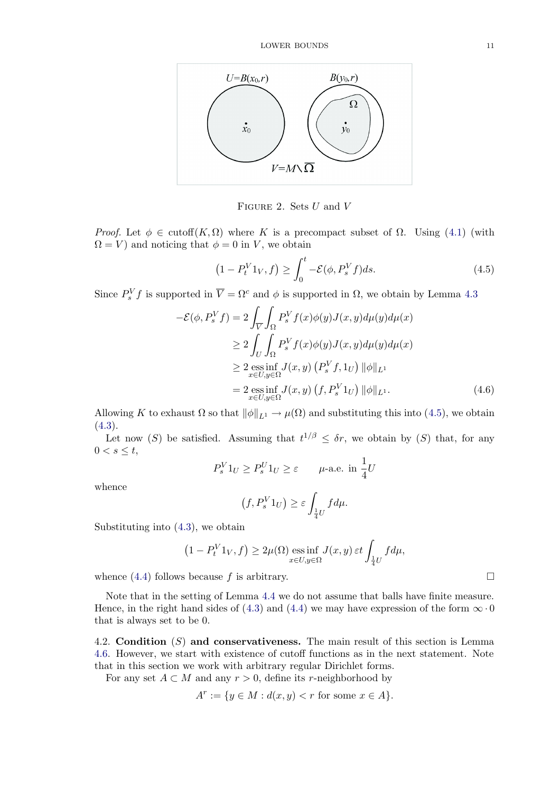<span id="page-10-0"></span>

FIGURE 2. Sets  $U$  and  $V$ 

*Proof.* Let  $\phi \in \text{cutoff}(K, \Omega)$  where K is a precompact subset of  $\Omega$ . Using (4.1) (with  $\Omega = V$  and noticing that  $\phi = 0$  in V, we obtain

$$
(1 - P_t^V 1_V, f) \ge \int_0^t -\mathcal{E}(\phi, P_s^V f) ds. \tag{4.5}
$$

Since  $P_s^V f$  is supported in  $\overline{V} = \Omega^c$  and  $\phi$  is supported in  $\Omega$ , we obtain by Lemma 4.3

$$
-\mathcal{E}(\phi, P_s^V f) = 2 \int_{\overline{V}} \int_{\Omega} P_s^V f(x) \phi(y) J(x, y) d\mu(y) d\mu(x)
$$
  
\n
$$
\geq 2 \int_{U} \int_{\Omega} P_s^V f(x) \phi(y) J(x, y) d\mu(y) d\mu(x)
$$
  
\n
$$
\geq 2 \underset{x \in U, y \in \Omega}{\text{ess inf}} J(x, y) (P_s^V f, 1_U) ||\phi||_{L^1}
$$
  
\n
$$
= 2 \underset{x \in U, y \in \Omega}{\text{ess inf}} J(x, y) (f, P_s^V 1_U) ||\phi||_{L^1}. \tag{4.6}
$$

Allowing K to exhaust  $\Omega$  so that  $\|\phi\|_{L^1} \to \mu(\Omega)$  and substituting this into (4.5), we obtain  $(4.3).$ 

Let now (S) be satisfied. Assuming that  $t^{1/\beta} \leq \delta r$ , we obtain by (S) that, for any  $0 < s \leq t$ ,

$$
P_s^V 1_U \ge P_s^U 1_U \ge \varepsilon \qquad \mu\text{-a.e. in } \frac{1}{4}U
$$

whence

$$
(f, P_s^V 1_U) \ge \varepsilon \int_{\frac{1}{4}U} f d\mu.
$$

Substituting into (4.3), we obtain

$$
(1 - P_t^V 1_V, f) \ge 2\mu(\Omega) \underset{x \in U, y \in \Omega}{\text{ess inf }} J(x, y) \, \varepsilon t \int_{\frac{1}{4}U} f d\mu,
$$

whence  $(4.4)$  follo[ws](#page-9-0) [b](#page-9-0)ecause f is arbitrary.

Note that in the setting of Lemma 4.4 we do not assume that balls have finite measure. Hence, in the right hand sides of (4.3) and (4.4) we may have expression of the form  $\infty \cdot 0$ that is a[lway](#page-9-0)s set to be 0.

4.2. Condition  $(S)$  and conservat[ive](#page-9-0)ness. The main result of this section is Lemma 4.6. However, we start with exist[enc](#page-9-0)e of cu[toff](#page-9-0) functions as in the next statement. Note that in this section we work with arbitrary regular Dirichlet forms.

For any set  $A \subset M$  and any  $r > 0$ , define its r-neighborhood by

$$
A^r:=\{y\in M: d(x,y)
$$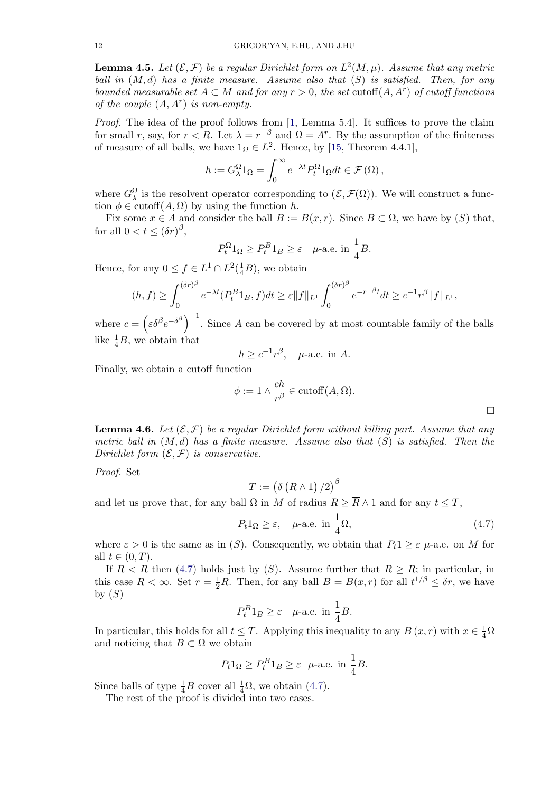<span id="page-11-0"></span>**Lemma 4.5.** Let  $(\mathcal{E}, \mathcal{F})$  be a regular Dirichlet form on  $L^2(M, \mu)$ . Assume that any metric ball in  $(M, d)$  has a finite measure. Assume also that  $(S)$  is satisfied. Then, for any bounded measurable set  $A \subset M$  and for any  $r > 0$ , the set cutoff $(A, A<sup>r</sup>)$  of cutoff functions of the couple  $(A, A^r)$  is non-empty.

*Proof.* The idea of the proof follows from [1, Lemma 5.4]. It suffices to prove the claim for small r, say, for  $r < \overline{R}$ . Let  $\lambda = r^{-\beta}$  and  $\Omega = A^r$ . By the assumption of the finiteness of measure of all balls, we have  $1_{\Omega} \in L^2$ . Hence, by [15, Theorem 4.4.1],

$$
h := G_{\lambda}^{\Omega} 1_{\Omega} = \int_0^{\infty} e^{-\lambda t} P_t^{\Omega} 1_{\Omega} dt \in \mathcal{F}(\Omega),
$$

where  $G_{\lambda}^{\Omega}$  is the resolvent operator corresponding to  $(\mathcal{E}, \mathcal{F}(\Omega))$  $(\mathcal{E}, \mathcal{F}(\Omega))$  $(\mathcal{E}, \mathcal{F}(\Omega))$ . We will construct a function  $\phi \in \text{cutoff}(A, \Omega)$  by using the function h.

Fix some  $x \in A$  and consider the ball  $B := B(x, r)$ . Since  $B \subset \Omega$ , we have by  $(S)$  that, for all  $0 < t \leq (\delta r)^{\beta}$ ,

$$
P_t^{\Omega}1_{\Omega} \ge P_t^B1_B \ge \varepsilon \quad \text{\textmu-a.e. in } \frac{1}{4}B.
$$

Hence, for any  $0 \le f \in L^1 \cap L^2(\frac{1}{4}B)$ , we obtain

 $\phi$ 

$$
(h, f) \ge \int_0^{(\delta r)^\beta} e^{-\lambda t} (P_t^B 1_B, f) dt \ge \varepsilon \|f\|_{L^1} \int_0^{(\delta r)^\beta} e^{-r^{-\beta t}} dt \ge c^{-1} r^\beta \|f\|_{L^1},
$$

where  $c = (\varepsilon \delta^{\beta} e^{-\delta^{\beta}})^{-1}$ . Since A can be covered by at most countable family of the balls like  $\frac{1}{4}B$ , we obtain that

$$
h \ge c^{-1}r^{\beta}, \quad \mu\text{-a.e. in } A.
$$

Finally, we obtain a cutoff function

$$
:= 1 \wedge \frac{ch}{r^{\beta}} \in \text{cutoff}(A, \Omega).
$$

**Lemma 4.6.** Let  $(\mathcal{E}, \mathcal{F})$  be a regular Dirichlet form without killing part. Assume that any metric ball in  $(M, d)$  has a finite measure. Assume also that  $(S)$  is satisfied. Then the Dirichlet form  $(\mathcal{E}, \mathcal{F})$  is conservative.

Proof. Set

$$
T:=\left(\delta\left(\overline{R}\wedge 1\right)/2\right)^{\beta}
$$

and let us prove that, for any ball  $\Omega$  in M of radius  $R > \overline{R} \wedge 1$  and for any  $t \leq T$ ,

$$
P_t 1_{\Omega} \ge \varepsilon, \quad \mu\text{-a.e. in } \frac{1}{4}\Omega,\tag{4.7}
$$

where  $\varepsilon > 0$  is the same as in (S). Consequently, we obtain that  $P_t 1 \geq \varepsilon$   $\mu$ -a.e. on M for all  $t \in (0, T)$ .

If  $R < \overline{R}$  then (4.7) holds just by (S). Assume further that  $R \geq \overline{R}$ ; in particular, in this case  $\overline{R} < \infty$ . Set  $r = \frac{1}{2}\overline{R}$ . Then, for any ball  $B = B(x, r)$  for all  $t^{1/\beta} \leq \delta r$ , we have by  $(S)$ 

$$
P_t^B 1_B \ge \varepsilon
$$
  $\mu$ -a.e. in  $\frac{1}{4}B$ .

In particular, this holds for all  $t \leq T$ . Applying this inequality to any  $B(x,r)$  with  $x \in \frac{1}{4}\Omega$ and noticing that  $B \subset \Omega$  we obtain

$$
P_t 1_\Omega \ge P_t^B 1_B \ge \varepsilon \quad \text{\textmu-a.e. in } \frac{1}{4}B.
$$

Since balls of type  $\frac{1}{4}B$  cover all  $\frac{1}{4}\Omega$ , we obtain (4.7).

The rest of the proof is divided into two cases.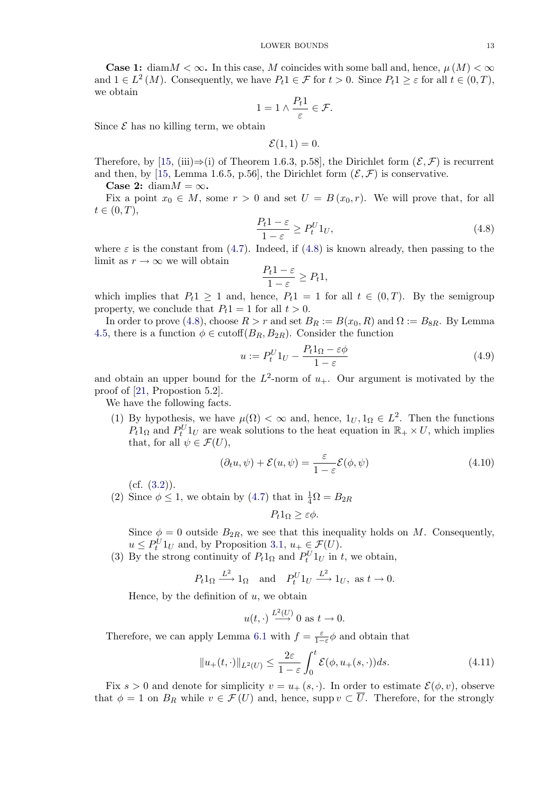<span id="page-12-0"></span>**Case 1:** diam  $M < \infty$ . In this case, M coincides with some ball and, hence,  $\mu(M) < \infty$ and  $1 \in L^2(M)$ . Consequently, we have  $P_t 1 \in \mathcal{F}$  for  $t > 0$ . Since  $P_t 1 \geq \varepsilon$  for all  $t \in (0, T)$ , we obtain

$$
1 = 1 \wedge \frac{P_t 1}{\varepsilon} \in \mathcal{F}.
$$

Since  $\mathcal E$  has no killing term, we obtain

$$
\mathcal{E}(1,1)=0.
$$

Therefore, by [15, (iii)⇒(i) of Theorem 1.6.3, p.58], the Dirichlet form  $(\mathcal{E}, \mathcal{F})$  is recurrent and then, by [15, Lemma 1.6.5, p.56], the Dirichlet form  $(\mathcal{E}, \mathcal{F})$  is conservative.

Case 2: diam $M = \infty$ .

Fix a point  $x_0 \in M$ , some  $r > 0$  and set  $U = B(x_0, r)$ . We will prove that, for all  $t \in (0, T),$ 

$$
\frac{P_t 1 - \varepsilon}{1 - \varepsilon} \ge P_t^U 1_U,\tag{4.8}
$$

where  $\varepsilon$  is the constant from (4.7). Indeed, if (4.8) is known already, then passing to the limit as  $r \to \infty$  we will obtain

$$
\frac{P_t 1 - \varepsilon}{1 - \varepsilon} \ge P_t 1,
$$

which implies that  $P_t 1 \geq 1$  [and,](#page-11-0) hence,  $P_t 1 = 1$  for all  $t \in (0, T)$ . By the semigroup property, we conclude that  $P_t1 = 1$  for all  $t > 0$ .

In order to prove (4.8), choose  $R > r$  and set  $B_R := B(x_0, R)$  and  $\Omega := B_{8R}$ . By Lemma 4.5, there is a function  $\phi \in \text{cutoff}(B_R, B_{2R})$ . Consider the function

$$
u := P_t^U 1_U - \frac{P_t 1_\Omega - \varepsilon \phi}{1 - \varepsilon} \tag{4.9}
$$

[and](#page-11-0) obtain an upper bound for the  $L^2$ -norm of  $u_+$ . Our argument is motivated by the proof of [21, Propostion 5.2].

We have the following facts.

(1) By hypothesis, we have  $\mu(\Omega) < \infty$  and, hence,  $1_U, 1_\Omega \in L^2$ . Then the functions  $P_t 1_\Omega$  and  $P_t^U 1_U$  are weak solutions to the heat equation in  $\mathbb{R}_+ \times U$ , which implies t[hat](#page-24-0), for all  $\psi \in \mathcal{F}(U)$ ,

$$
(\partial_t u, \psi) + \mathcal{E}(u, \psi) = \frac{\varepsilon}{1 - \varepsilon} \mathcal{E}(\phi, \psi)
$$
\n(4.10)

 $(cf. (3.2)).$ 

(2) Since  $\phi \le 1$ , we obtain by (4.7) that in  $\frac{1}{4}\Omega = B_{2R}$ 

$$
P_t 1_{\Omega} \geq \varepsilon \phi.
$$

Since  $\phi = 0$  outside  $B_{2R}$ , we see that this inequality holds on M. Consequently,  $u \leq P_t^U 1_U$  and, by Proposi[tion](#page-11-0) 3.1,  $u_+ \in \mathcal{F}(U)$ .

(3) By the strong continuity of  $P_t 1_\Omega$  and  $P_t^U 1_U$  in t, we obtain,

$$
P_t 1_{\Omega} \xrightarrow{L^2} 1_{\Omega}
$$
 and  $P_t^U 1_U \xrightarrow{L^2} 1_U$ , as  $t \to 0$ .

Hence, by the definiti[o](#page-5-0)n of  $u$ , [we](#page-5-0) obtain

$$
u(t, \cdot) \xrightarrow{L^2(U)} 0
$$
 as  $t \to 0$ .

Therefore, we can apply Lemma 6.1 with  $f = \frac{\varepsilon}{1-\varepsilon} \phi$  and obtain that

$$
||u_+(t,\cdot)||_{L^2(U)} \le \frac{2\varepsilon}{1-\varepsilon} \int_0^t \mathcal{E}(\phi, u_+(s,\cdot))ds. \tag{4.11}
$$

Fix s > 0 and denote for simplic[ity](#page-22-0)  $v = u_+(s, \cdot)$ . In order to estimate  $\mathcal{E}(\phi, v)$ , observe that  $\phi = 1$  on  $B_R$  while  $v \in \mathcal{F}(U)$  and, hence, supp  $v \subset \overline{U}$ . Therefore, for the strongly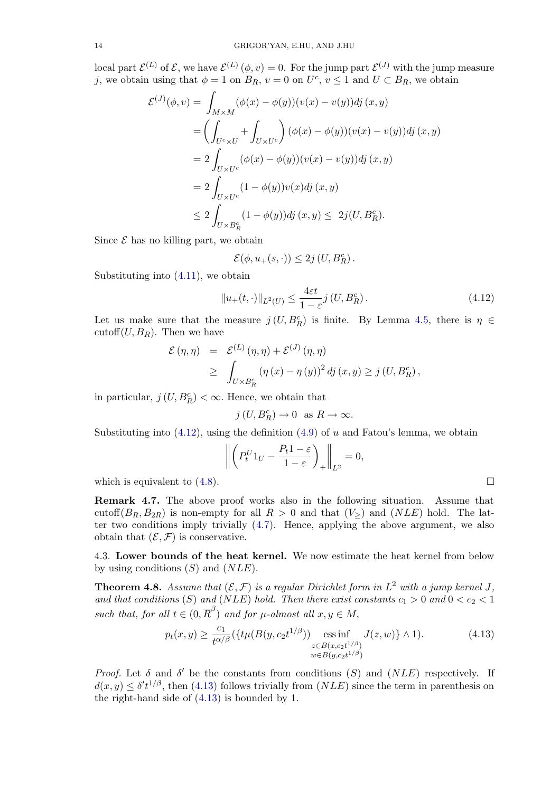<span id="page-13-0"></span>local part  $\mathcal{E}^{(L)}$  of  $\mathcal{E}$ , we have  $\mathcal{E}^{(L)}(\phi, v) = 0$ . For the jump part  $\mathcal{E}^{(J)}$  with the jump measure j, we obtain using that  $\phi = 1$  on  $B_R$ ,  $v = 0$  on  $U^c$ ,  $v \le 1$  and  $U \subset B_R$ , we obtain

$$
\mathcal{E}^{(J)}(\phi, v) = \int_{M \times M} (\phi(x) - \phi(y))(v(x) - v(y))dj (x, y)
$$
  
= 
$$
\left(\int_{U^c \times U} + \int_{U \times U^c} \right) (\phi(x) - \phi(y))(v(x) - v(y))dj (x, y)
$$
  
= 
$$
2 \int_{U \times U^c} (\phi(x) - \phi(y))(v(x) - v(y))dj (x, y)
$$
  
= 
$$
2 \int_{U \times U^c} (1 - \phi(y))v(x)dj (x, y)
$$
  

$$
\leq 2 \int_{U \times B_R^c} (1 - \phi(y))dj (x, y) \leq 2j(U, B_R^c).
$$

Since  $\mathcal E$  has no killing part, we obtain

$$
\mathcal{E}(\phi, u_+(s,\cdot)) \leq 2j\left( U, B^c_R \right).
$$

Substituting into (4.11), we obtain

$$
||u_{+}(t,\cdot)||_{L^{2}(U)} \leq \frac{4\varepsilon t}{1-\varepsilon}j(U,B_{R}^{c}).
$$
\n(4.12)

Let us make sure [that](#page-12-0) the measure  $j(U, B_R^c)$  is finite. By Lemma 4.5, there is  $\eta \in \mathbb{R}$ cutoff $(U, B_R)$ . Then we have

$$
\mathcal{E}(\eta, \eta) = \mathcal{E}^{(L)}(\eta, \eta) + \mathcal{E}^{(J)}(\eta, \eta)
$$
  
\n
$$
\geq \int_{U \times B_R^c} (\eta(x) - \eta(y))^2 \, dj(x, y) \geq j(U, B_R^c),
$$

in particular,  $j(U, B_R^c) < \infty$ . Hence, we obtain that

$$
j(U, B_R^c) \to 0
$$
 as  $R \to \infty$ .

Substituting into  $(4.12)$ , using the definition  $(4.9)$  of u and Fatou's lemma, we obtain

$$
\left\| \left( P_t^U 1_U - \frac{P_t 1 - \varepsilon}{1 - \varepsilon} \right)_+ \right\|_{L^2} = 0,
$$

which is equivalent to (4.8).

Remark 4.7. The above proof works also in the following situation. Assume that cutoff( $B_R, B_{2R}$ ) is non-empty for all  $R > 0$  and that  $(V > 0)$  and  $(NLE)$  hold. The latter two conditions imp[ly t](#page-12-0)rivially (4.7). Hence, applying the above argument, we also obtain that  $(\mathcal{E}, \mathcal{F})$  is conservative.

4.3. Lower bounds of the heat kernel. We now estimate the heat kernel from below by using conditions  $(S)$  and  $(NLE)$ [.](#page-11-0)

**Theorem 4.8.** Assume that  $(\mathcal{E}, \mathcal{F})$  is a regular Dirichlet form in  $L^2$  with a jump kernel J, and that conditions (S) and (NLE) hold. Then there exist constants  $c_1 > 0$  and  $0 < c_2 < 1$ such that, for all  $t \in (0, \overline{R}^{\beta})$  and for  $\mu$ -almost all  $x, y \in M$ ,

$$
p_t(x,y) \ge \frac{c_1}{t^{\alpha/\beta}} (\{t\mu(B(y,c_2 t^{1/\beta})) \underset{w \in B(y,c_2 t^{1/\beta})}{\text{ess inf}} J(z,w)\} \wedge 1). \tag{4.13}
$$

*Proof.* Let  $\delta$  and  $\delta'$  be the constants from conditions (S) and (NLE) respectively. If  $d(x, y) \leq \delta' t^{1/\beta}$ , then (4.13) follows trivially from  $(NLE)$  since the term in parenthesis on the right-hand side of (4.13) is bounded by 1.

$$
\sqcup
$$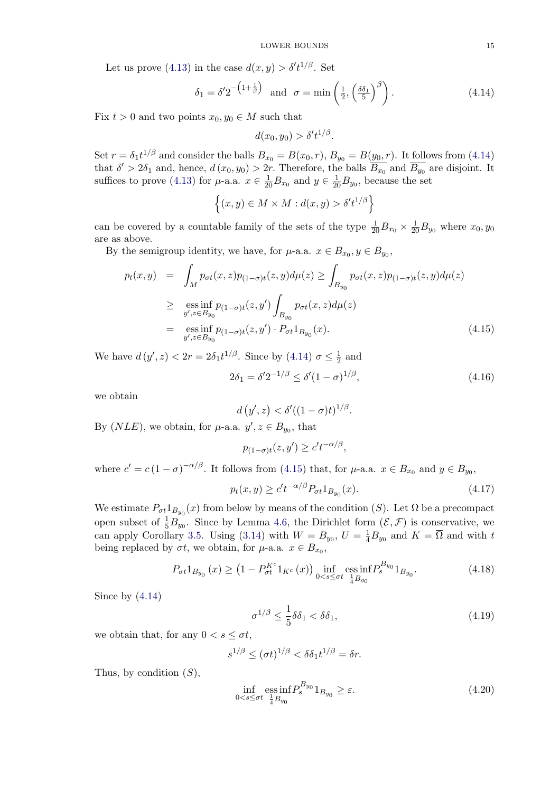<span id="page-14-0"></span>Let us prove (4.13) in the case  $d(x, y) > \delta' t^{1/\beta}$ . Set

$$
\delta_1 = \delta' 2^{-\left(1 + \frac{1}{\beta}\right)} \quad \text{and} \quad \sigma = \min\left(\frac{1}{2}, \left(\frac{\delta \delta_1}{5}\right)^{\beta}\right). \tag{4.14}
$$

Fix  $t > 0$  and t[wo](#page-13-0) [po](#page-13-0)ints  $x_0, y_0 \in M$  such that

$$
d(x_0, y_0) > \delta' t^{1/\beta}.
$$

Set  $r = \delta_1 t^{1/\beta}$  and consider the balls  $B_{x_0} = B(x_0, r)$ ,  $B_{y_0} = B(y_0, r)$ . It follows from (4.14) that  $\delta' > 2\delta_1$  and, hence,  $d(x_0, y_0) > 2r$ . Therefore, the balls  $\overline{B_{x_0}}$  and  $\overline{B_{y_0}}$  are disjoint. It suffices to prove (4.13) for  $\mu$ -a.a.  $x \in \frac{1}{20}B_{x_0}$  and  $y \in \frac{1}{20}B_{y_0}$ , because the set

$$
\left\{(x,y)\in M\times M:d(x,y)>\delta't^{1/\beta}\right\}
$$

can be covered b[y a c](#page-13-0)ountable family of the sets of the type  $\frac{1}{20}B_{x_0} \times \frac{1}{20}B_{y_0}$  where  $x_0, y_0$ are as above.

By the semigroup identity, we have, for  $\mu$ -a.a.  $x \in B_{x_0}, y \in B_{y_0}$ ,

$$
p_t(x,y) = \int_M p_{\sigma t}(x,z)p_{(1-\sigma)t}(z,y)d\mu(z) \ge \int_{B_{y_0}} p_{\sigma t}(x,z)p_{(1-\sigma)t}(z,y)d\mu(z)
$$
  
\n
$$
\ge \underset{y',z \in B_{y_0}}{\text{ess inf}} p_{(1-\sigma)t}(z,y') \int_{B_{y_0}} p_{\sigma t}(x,z)d\mu(z)
$$
  
\n
$$
= \underset{y',z \in B_{y_0}}{\text{ess inf}} p_{(1-\sigma)t}(z,y') \cdot P_{\sigma t}1_{B_{y_0}}(x). \tag{4.15}
$$

We have  $d(y', z) < 2r = 2\delta_1 t^{1/\beta}$ . Since by (4.14)  $\sigma \le \frac{1}{2}$  and

$$
2\delta_1 = \delta' 2^{-1/\beta} \le \delta' (1 - \sigma)^{1/\beta},\tag{4.16}
$$

we obtain

$$
d\left(y',z\right) < \delta'((1-\sigma)t)^{1/\beta}.
$$

By  $(NLE)$ , we obtain, for  $\mu$ -a.a.  $y', z \in B_{y_0}$ , that

$$
p_{(1-\sigma)t}(z, y') \ge c't^{-\alpha/\beta},
$$

where  $c' = c (1 - \sigma)^{-\alpha/\beta}$ . It follows from (4.15) that, for  $\mu$ -a.a.  $x \in B_{x_0}$  and  $y \in B_{y_0}$ ,

$$
p_t(x, y) \ge c' t^{-\alpha/\beta} P_{\sigma t} 1_{B_{y_0}}(x).
$$
\n(4.17)

We estimate  $P_{\sigma t}1_{B_{y_0}}(x)$  from below by means of the condition (S). Let  $\Omega$  be a precompact open subset of  $\frac{1}{5}B_{y_0}$ . Since by Lemma 4.6, the Dirichlet form  $(\mathcal{E}, \mathcal{F})$  is conservative, we can apply Corollary 3.5. Using (3.14) with  $W = B_{y_0}$ ,  $U = \frac{1}{4}B_{y_0}$  and  $K = \overline{\Omega}$  and with t being replaced by  $\sigma t$ , we obtain, for  $\mu$ -a.a.  $x \in B_{x_0}$ ,

$$
P_{\sigma t} 1_{B_{y_0}}(x) \ge \left(1 - P_{\sigma t}^{K^c} 1_{K^c}(x)\right) \inf_{0 < s \le \sigma t} \operatorname*{ess\,inf}_{\frac{1}{4} B_{y_0}} P_s^{B_{y_0}} 1_{B_{y_0}}.\tag{4.18}
$$

Since by  $(4.14)$ 

$$
\sigma^{1/\beta} \le \frac{1}{5}\delta\delta_1 < \delta\delta_1,\tag{4.19}
$$

we obtain that, for any  $0 < s \leq \sigma t$ ,

$$
s^{1/\beta} \le (\sigma t)^{1/\beta} < \delta \delta_1 t^{1/\beta} = \delta r.
$$

Thus, by condition  $(S)$ ,

$$
\inf_{0 < s \le \sigma t} \operatorname*{ess\,inf}_{\frac{1}{4}B_{y_0}} P_s^{B_{y_0}} 1_{B_{y_0}} \ge \varepsilon. \tag{4.20}
$$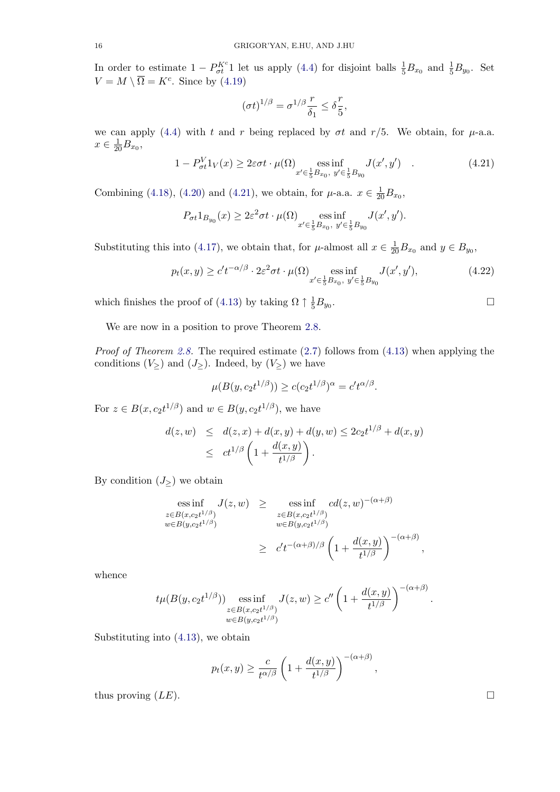In order to estimate  $1 - P_{\sigma t}^{K^c} 1$  let us apply (4.4) for disjoint balls  $\frac{1}{5}B_{x_0}$  and  $\frac{1}{5}B_{y_0}$ . Set  $V = M \setminus \overline{\Omega} = K^c$ . Since by (4.19)

$$
(\sigma t)^{1/\beta} = \sigma^{1/\beta} \frac{r}{\delta_1} \le \delta \frac{r}{5},
$$

we can apply (4.4) with t a[nd](#page-14-0) r being replaced by  $\sigma t$  and  $r/5$ . We obtain, for  $\mu$ -a.a.  $x \in \frac{1}{20}B_{x_0},$ 

$$
1 - P_{\sigma t}^V 1_V(x) \ge 2\varepsilon\sigma t \cdot \mu(\Omega) \underset{x' \in \frac{1}{5}B_{x_0}, y' \in \frac{1}{5}B_{y_0}}{\text{ess inf}} J(x', y') \quad . \tag{4.21}
$$

Combining (4.18), (4.20) and (4.21), we obtain, for  $\mu$ -a.a.  $x \in \frac{1}{20}B_{x_0}$ ,

$$
P_{\sigma t}1_{B_{y_0}}(x) \ge 2\varepsilon^2 \sigma t \cdot \mu(\Omega) \underset{x' \in \frac{1}{5}B_{x_0}, y' \in \frac{1}{5}B_{y_0}}{\text{ess inf}} J(x', y').
$$

Substituting [this](#page-14-0) in[to](#page-14-0) [\(4](#page-14-0).17), we obtain that, for  $\mu$ -almost all  $x \in \frac{1}{20}B_{x_0}$  and  $y \in B_{y_0}$ ,

$$
p_t(x,y) \ge c't^{-\alpha/\beta} \cdot 2\varepsilon^2 \sigma t \cdot \mu(\Omega) \underset{x' \in \frac{1}{5}B_{x_0}, y' \in \frac{1}{5}B_{y_0}}{\text{ess inf}} J(x', y'),\tag{4.22}
$$

which finishes the proof of (4.13) by taking  $\Omega \uparrow \frac{1}{5}B_{y_0}$ .

We are now in a position to prove Theorem 2.8.

Proof of Theorem 2.8. The [requ](#page-13-0)ired estimate (2.7) follows from (4.13) when applying the conditions  $(V_{\geq})$  and  $(J_{\geq})$ . Indeed, by  $(V_{\geq})$  we have

$$
\mu(B(y, c_2 t^{1/\beta})) \ge c(c_2 t^{1/\beta})^{\alpha} = c' t^{\alpha/\beta}.
$$

For  $z \in B(x, c_2 t^{1/\beta})$  and  $w \in B(y, c_2 t^{1/\beta})$ , we have

$$
d(z, w) \leq d(z, x) + d(x, y) + d(y, w) \leq 2c_2 t^{1/\beta} + d(x, y)
$$
  
 
$$
\leq ct^{1/\beta} \left(1 + \frac{d(x, y)}{t^{1/\beta}}\right).
$$

By condition  $(J_{\geq})$  we obtain

$$
\operatorname{ess\,inf}_{\substack{z \in B(x,c_2t^{1/\beta}) \\ w \in B(y,c_2t^{1/\beta})}} J(z,w) \ge \operatorname{ess\,inf}_{\substack{z \in B(x,c_2t^{1/\beta}) \\ w \in B(y,c_2t^{1/\beta})}} cd(z,w)^{-(\alpha+\beta)}
$$
\n
$$
\ge c't^{-(\alpha+\beta)/\beta} \left(1 + \frac{d(x,y)}{t^{1/\beta}}\right)^{-(\alpha+\beta)},
$$

whence

$$
t\mu(B(y, c_2t^{1/\beta}))
$$
ess inf <sub>$z \in B(x, c_2t^{1/\beta})$</sub>  $J(z, w) \ge c'' \left(1 + \frac{d(x, y)}{t^{1/\beta}}\right)^{-(\alpha+\beta)}$ .  
\nwe  $y \in B(y, c_2t^{1/\beta})$ 

Substituting into (4.13), we obtain

$$
p_t(x, y) \ge \frac{c}{t^{\alpha/\beta}} \left(1 + \frac{d(x, y)}{t^{1/\beta}}\right)^{-(\alpha+\beta)},
$$

thus proving  $(LE)$ .

$$
\Box
$$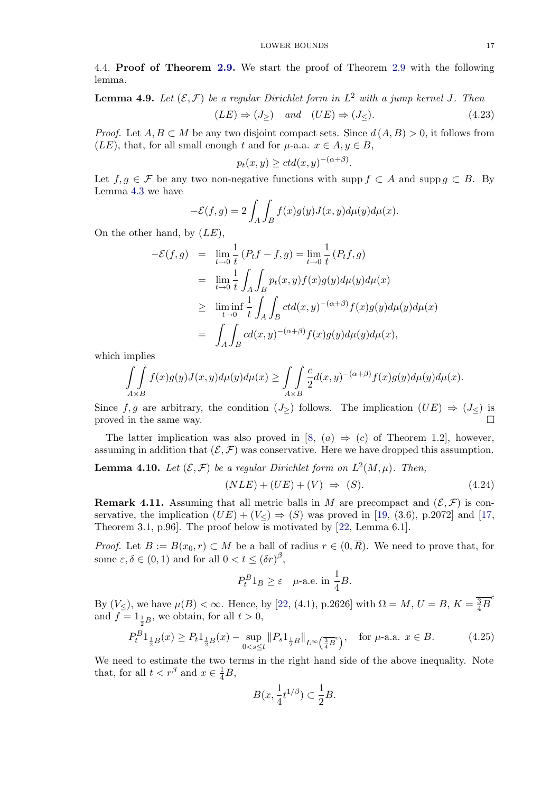<span id="page-16-0"></span>4.4. Proof of Theorem 2.9. We start the proof of Theorem 2.9 with the following lemma.

**Lemma 4.9.** Let  $(\mathcal{E}, \mathcal{F})$  be a regular Dirichlet form in  $L^2$  with a jump kernel J. Then

$$
(LE) \Rightarrow (J_{\ge}) \quad and \quad (UE) \Rightarrow (J_{\le}). \tag{4.23}
$$

*Proof.* Let  $A, B \subset M$  be any two disjoint compact sets. Since  $d(A, B) > 0$ , it follows from  $(LE)$ , that, for all small enough t and for  $\mu$ -a.a.  $x \in A, y \in B$ ,

$$
p_t(x, y) \ge ctd(x, y)^{-(\alpha + \beta)}.
$$

Let  $f, g \in \mathcal{F}$  be any two non-negative functions with supp  $f \subset A$  and supp  $g \subset B$ . By Lemma 4.3 we have

$$
-\mathcal{E}(f,g) = 2 \int_A \int_B f(x)g(y)J(x,y)d\mu(y)d\mu(x).
$$

On the [othe](#page-9-0)r hand, by  $(LE)$ ,

$$
-\mathcal{E}(f,g) = \lim_{t \to 0} \frac{1}{t} (P_t f - f, g) = \lim_{t \to 0} \frac{1}{t} (P_t f, g)
$$
  
\n
$$
= \lim_{t \to 0} \frac{1}{t} \int_A \int_B p_t(x, y) f(x) g(y) d\mu(y) d\mu(x)
$$
  
\n
$$
\geq \liminf_{t \to 0} \frac{1}{t} \int_A \int_B c t d(x, y)^{-(\alpha + \beta)} f(x) g(y) d\mu(y) d\mu(x)
$$
  
\n
$$
= \int_A \int_B c d(x, y)^{-(\alpha + \beta)} f(x) g(y) d\mu(y) d\mu(x),
$$

which implies

$$
\mathop{\int\int}\limits_{A\times B}f(x)g(y)J(x,y)d\mu(y)d\mu(x)\geq \mathop{\int\int}\limits_{A\times B}\frac{c}{2}d(x,y)^{-(\alpha+\beta)}f(x)g(y)d\mu(y)d\mu(x).
$$

Since f, g are arbitrary, the condition  $(J_{\geq})$  follows. The implication  $(UE) \Rightarrow (J_{\leq})$  is proved in the same way.

The latter implication was also proved in [8,  $(a) \Rightarrow (c)$  of Theorem 1.2], however, assuming in addition that  $(\mathcal{E}, \mathcal{F})$  was conservative. Here we have dropped this assumption.

**Lemma 4.10.** Let  $(\mathcal{E}, \mathcal{F})$  be a regular Dirichlet form on  $L^2(M, \mu)$ . Then,

$$
(NLE) + (UE) + (V) \Rightarrow (S). \tag{4.24}
$$

**Remark 4.11.** Assuming that all metric balls in M are precompact and  $(\mathcal{E}, \mathcal{F})$  is conservative, the implication  $(UE) + (V<sub>5</sub>) \Rightarrow (S)$  was proved in [19, (3.6), p.2072] and [17, Theorem 3.1, p.96]. The proof below is motivated by [22, Lemma 6.1].

*Proof.* Let  $B := B(x_0, r) \subset M$  be a ball of radius  $r \in (0, \overline{R})$ . We need to prove that, for some  $\varepsilon, \delta \in (0, 1)$  and for all  $0 < t \leq (\delta r)^{\beta}$ ,

$$
P_t^B 1_B \ge \varepsilon \quad \text{\(\mu-a.e. in } \frac{1}{4}B).
$$

By  $(V_{\leq})$ , we have  $\mu(B) < \infty$ . Hence, by [22, (4.1), p.2626] with  $\Omega = M$ ,  $U = B$ ,  $K = \frac{3}{4}B^{c}$ and  $f = 1_{\frac{1}{2}B}$ , we obtain, for all  $t > 0$ ,

$$
P_t^B 1_{\frac{1}{2}B}(x) \ge P_t 1_{\frac{1}{2}B}(x) - \sup_{0 < s \le t} \| P_s 1_{\frac{1}{2}B} \|_{L^\infty\left(\frac{3}{4}B^c\right)}, \quad \text{for } \mu\text{-a.a. } x \in B. \tag{4.25}
$$

We need to estimate the two terms in the right hand side of the above inequality. Note that, for all  $t < r^{\beta}$  and  $x \in \frac{1}{4}B$ ,

$$
B(x, \frac{1}{4}t^{1/\beta}) \subset \frac{1}{2}B.
$$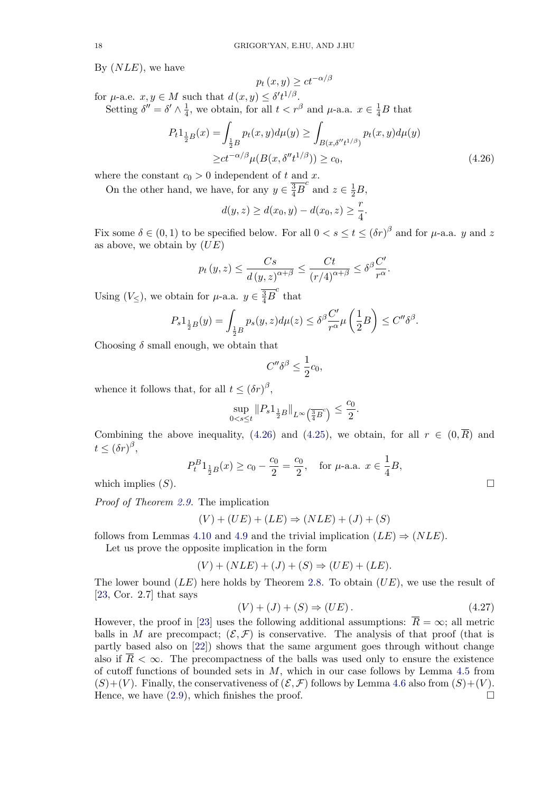By  $(NLE)$ , we have

$$
p_t(x, y) \ge ct^{-\alpha/\beta}
$$

for  $\mu$ -a.e.  $x, y \in M$  such that  $d(x, y) \leq \delta' t^{1/\beta}$ . Setting  $\delta'' = \delta' \wedge \frac{1}{4}$ , we obtain, for all  $t < r^{\beta}$  and  $\mu$ -a.a.  $x \in \frac{1}{4}B$  that

$$
P_t 1_{\frac{1}{2}B}(x) = \int_{\frac{1}{2}B} p_t(x, y) d\mu(y) \ge \int_{B(x, \delta''t^{1/\beta})} p_t(x, y) d\mu(y)
$$
  
 
$$
\ge ct^{-\alpha/\beta} \mu(B(x, \delta''t^{1/\beta})) \ge c_0,
$$
 (4.26)

.

where the constant  $c_0 > 0$  independent of t and x.

On the other hand, we have, for any  $y \in \frac{3}{4}B^c$  and  $z \in \frac{1}{2}B$ ,

$$
d(y, z) \ge d(x_0, y) - d(x_0, z) \ge \frac{r}{4}
$$

Fix some  $\delta \in (0,1)$  to be specified below. For all  $0 < s \le t \le (\delta r)^{\beta}$  and for  $\mu$ -a.a. y and z as above, we obtain by  $(UE)$ 

$$
p_t(y, z) \le \frac{Cs}{d(y, z)^{\alpha + \beta}} \le \frac{Ct}{(r/4)^{\alpha + \beta}} \le \delta^{\beta} \frac{C'}{r^{\alpha}}.
$$

Using  $(V \leq)$ , we obtain for  $\mu$ -a.a.  $y \in \frac{3}{4}B^c$  that

$$
P_s 1_{\frac{1}{2}B}(y) = \int_{\frac{1}{2}B} p_s(y, z) d\mu(z) \leq \delta^{\beta} \frac{C'}{r^{\alpha}} \mu\left(\frac{1}{2}B\right) \leq C'' \delta^{\beta}.
$$

Choosing  $\delta$  small enough, we obtain that

$$
C''\delta^{\beta} \le \frac{1}{2}c_0,
$$

whence it follows that, for all  $t \leq (\delta r)^{\beta}$ ,

$$
\sup_{0 < s \le t} \|P_s 1_{\frac{1}{2}B}\|_{L^\infty\left(\frac{3}{4}B^c\right)} \le \frac{c_0}{2}.
$$

Combining the above inequality, (4.26) and (4.25), we obtain, for all  $r \in (0, \overline{R})$  and  $t \leq (\delta r)^{\beta},$ 

$$
P_t^B 1_{\frac{1}{2}B}(x) \ge c_0 - \frac{c_0}{2} = \frac{c_0}{2}
$$
, for  $\mu$ -a.a.  $x \in \frac{1}{4}B$ ,

which implies  $(S)$ .

Proof of Theorem 2.9. The implication

$$
(V) + (UE) + (LE) \Rightarrow (NLE) + (J) + (S)
$$

follows from Lemmas 4.10 and 4.9 and the trivial implication  $(LE) \Rightarrow (NLE)$ .

Let us prove th[e op](#page-4-0)posite implication in the form

$$
(V) + (NLE) + (J) + (S) \Rightarrow (UE) + (LE).
$$

The lower bound  $(LE)$  here ho[lds](#page-16-0) by Theorem 2.8. To obtain  $(UE)$ , we use the result of [23, Cor. 2.7] that says

$$
(V) + (J) + (S) \Rightarrow (UE). \tag{4.27}
$$

However, the proof in [23] uses the following additional assumptions:  $\overline{R} = \infty$ ; all metric balls in M are precompact;  $(\mathcal{E}, \mathcal{F})$  is conserva[tive](#page-4-0). The analysis of that proof (that is [par](#page-24-0)tly based also on [22]) shows that the same argument goes through without change also if  $\overline{R} < \infty$ . The precompactness of the balls was used only to ensure the existence of cutoff functions of b[oun](#page-24-0)ded sets in  $M$ , which in our case follows by Lemma 4.5 from  $(S)+(V)$ . Finally, the conservativeness of  $(\mathcal{E}, \mathcal{F})$  follows by Lemma 4.6 also from  $(S)+(V)$ .<br>Hence, we have (2.9), which finishes the proof. Hence, we have (2.9), [wh](#page-24-0)ich finishes the proof.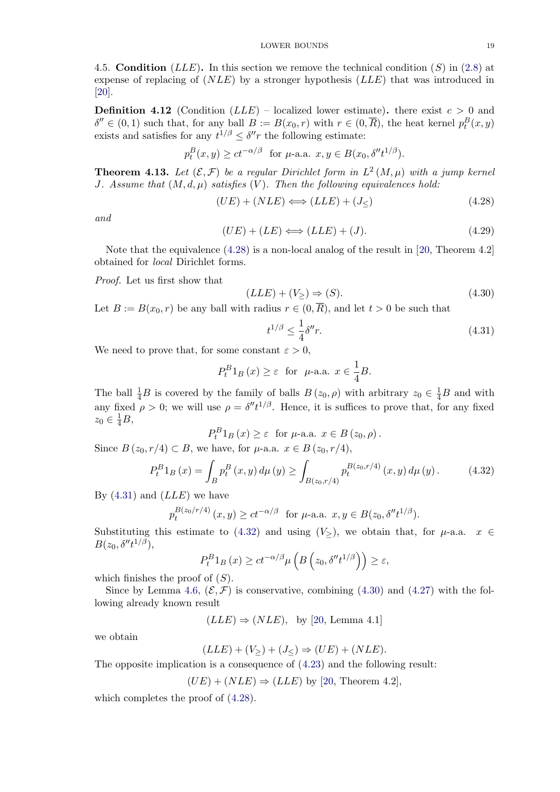<span id="page-18-0"></span>4.5. **Condition** (*LLE*). In this section we remove the technical condition (*S*) in (2.8) at expense of replacing of  $(NLE)$  by a stronger hypothesis  $(LLE)$  that was introduced in [20].

**Definition 4.12** (Condition  $(LLE)$  – localized lower estimate). there exist  $c > 0$  and  $\delta'' \in (0,1)$  such that, for any ball  $B := B(x_0,r)$  with  $r \in (0,\overline{R})$ , the heat kernel  $p_t^B(x,y)$ [exis](#page-24-0)ts and satisfies for any  $t^{1/\beta} \leq \delta'' r$  the following estimate:

$$
p_t^B(x, y) \ge ct^{-\alpha/\beta}
$$
 for  $\mu$ -a.a.  $x, y \in B(x_0, \delta'' t^{1/\beta}).$ 

**Theorem 4.13.** Let  $(\mathcal{E}, \mathcal{F})$  be a regular Dirichlet form in  $L^2(M, \mu)$  with a jump kernel J. Assume that  $(M, d, \mu)$  satisfies  $(V)$ . Then the following equivalences hold:

$$
(UE) + (NLE) \Longleftrightarrow (LLE) + (J_{\le})
$$
\n(4.28)

and

$$
(UE) + (LE) \Longleftrightarrow (LLE) + (J). \tag{4.29}
$$

Note that the equivalence (4.28) is a non-local analog of the result in [20, Theorem 4.2] obtained for local Dirichlet forms.

Proof. Let us first show that

$$
(LLE) + (V_{\geq}) \Rightarrow (S). \tag{4.30}
$$

Let  $B := B(x_0, r)$  be any ball with radius  $r \in (0, \overline{R})$ , and let  $t > 0$  be such that

$$
t^{1/\beta} \le \frac{1}{4} \delta'' r. \tag{4.31}
$$

We need to prove that, for some constant  $\varepsilon > 0$ ,

$$
P_t^B 1_B(x) \ge \varepsilon
$$
 for  $\mu$ -a.a.  $x \in \frac{1}{4}B$ .

The ball  $\frac{1}{4}B$  is covered by the family of balls  $B(z_0, \rho)$  with arbitrary  $z_0 \in \frac{1}{4}B$  and with any fixed  $\rho > 0$ ; we will use  $\rho = \delta'' t^{1/\beta}$ . Hence, it is suffices to prove that, for any fixed  $z_0 \in \frac{1}{4}B,$ 

$$
P_t^B1_B(x) \ge \varepsilon \text{ for } \mu\text{-a.a. } x \in B(z_0, \rho).
$$

Since  $B(z_0, r/4) \subset B$ , we have, for  $\mu$ -a.a.  $x \in B(z_0, r/4)$ ,

$$
P_t^B 1_B(x) = \int_B p_t^B(x, y) d\mu(y) \ge \int_{B(z_0, r/4)} p_t^{B(z_0, r/4)}(x, y) d\mu(y).
$$
 (4.32)

By  $(4.31)$  and  $(LLE)$  we have

$$
p_t^{B(z_0/r/4)}(x, y) \ge ct^{-\alpha/\beta}
$$
 for  $\mu$ -a.a.  $x, y \in B(z_0, \delta'' t^{1/\beta}).$ 

Substituting this estimate to (4.32) and using  $(V_>)$ , we obtain that, for  $\mu$ -a.a.  $x \in$  $B(z_0, \delta'' t^{1/\beta}),$ 

$$
P_t^B 1_B(x) \ge ct^{-\alpha/\beta} \mu\left(B\left(z_0, \delta'' t^{1/\beta}\right)\right) \ge \varepsilon,
$$

which finishes the proof of  $(S)$ .

Since by Lemma 4.6,  $(\mathcal{E}, \mathcal{F})$  is conservative, combining (4.30) and (4.27) with the following already known result

 $(LLE) \Rightarrow (NLE)$ , by [20, Lemma 4.1]

we obtain

$$
(LLE) + (V_{\geq}) + (J_{\leq}) \Rightarrow (UE) + (NLE).
$$

The opposite implication is a consequence of (4.[23\)](#page-24-0) and the following result:

$$
(UE) + (NLE) \Rightarrow (LLE) \text{ by } [20, \text{ Theorem 4.2}],
$$

which completes the proof of (4.28).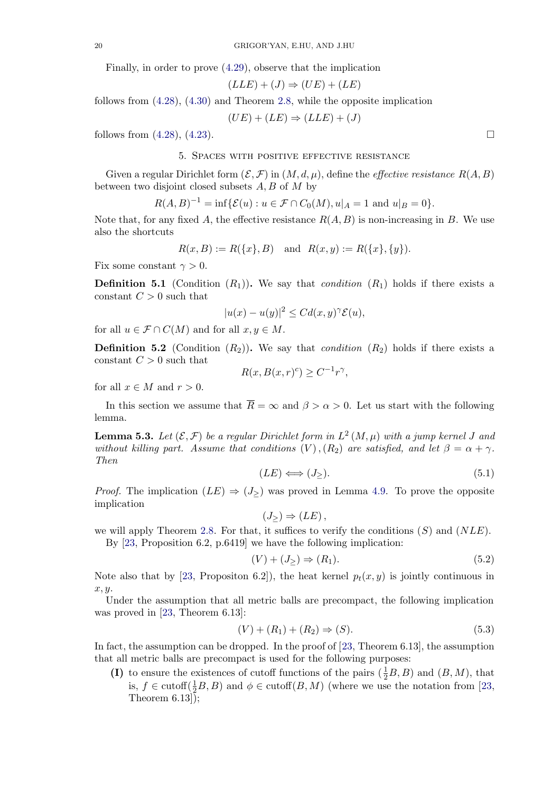Finally, in order to prove (4.29), observe that the implication

$$
(LLE) + (J) \Rightarrow (UE) + (LE)
$$

<span id="page-19-0"></span>follows from (4.28), (4.30) and Theorem 2.8, while the opposite implication

$$
(UE) + (LE) \Rightarrow (LLE) + (J)
$$

follows from  $(4.28)$ ,  $(4.23)$ .

### 5. Spaces with positive effective resistance

Given a regular Dirichlet form  $(\mathcal{E}, \mathcal{F})$  in  $(M, d, \mu)$ , define the *effective resistance*  $R(A, B)$ between two [disjoi](#page-18-0)nt [close](#page-16-0)d subsets  $A, B$  of  $M$  by

$$
R(A, B)^{-1} = \inf \{ \mathcal{E}(u) : u \in \mathcal{F} \cap C_0(M), u|_A = 1 \text{ and } u|_B = 0 \}.
$$

Note that, for any fixed A, the effective resistance  $R(A, B)$  is non-increasing in B. We use also the shortcuts

$$
R(x, B) := R(\{x\}, B) \text{ and } R(x, y) := R(\{x\}, \{y\}).
$$

Fix some constant  $\gamma > 0$ .

**Definition 5.1** (Condition  $(R_1)$ ). We say that *condition*  $(R_1)$  holds if there exists a constant  $C > 0$  such that

$$
|u(x) - u(y)|^2 \leq C d(x, y)^\gamma \mathcal{E}(u),
$$

for all  $u \in \mathcal{F} \cap C(M)$  and for all  $x, y \in M$ .

**Definition 5.2** (Condition  $(R_2)$ ). We say that *condition*  $(R_2)$  holds if there exists a constant  $C > 0$  such that

$$
R(x, B(x, r)^c) \ge C^{-1} r^{\gamma},
$$

for all  $x \in M$  and  $r > 0$ .

In this section we assume that  $\overline{R} = \infty$  and  $\beta > \alpha > 0$ . Let us start with the following lemma.

**Lemma 5.3.** Let  $(\mathcal{E}, \mathcal{F})$  be a regular Dirichlet form in  $L^2(M, \mu)$  with a jump kernel J and without killing part. Assume that conditions  $(V)$ ,  $(R_2)$  are satisfied, and let  $\beta = \alpha + \gamma$ . Then

$$
(LE) \Longleftrightarrow (J_{\geq}). \tag{5.1}
$$

*Proof.* The implication  $(LE) \Rightarrow (J_{\geq})$  was proved in Lemma 4.9. To prove the opposite implication

$$
(J_{\geq}) \Rightarrow (LE),
$$

we will apply Theorem 2.8. For that, it suffices to verify the conditions  $(S)$  and  $(NLE)$ .

By [23, Proposition 6.2, p.6419] we have the following impl[icat](#page-16-0)ion:

$$
(V) + (J_{\geq}) \Rightarrow (R_1). \tag{5.2}
$$

Note also that by [23, [Pro](#page-4-0)positon 6.2]), the heat kernel  $p_t(x, y)$  is jointly continuous in  $x, y$ .

Under the assumption that all metric balls are precompact, the following implication was proved in [23, Theorem 6.13]:

$$
(V) + (R_1) + (R_2) \Rightarrow (S). \tag{5.3}
$$

In fact, the assumption can be dropped. In the proof of [23, Theorem 6.13], the assumption that all metric [ba](#page-24-0)lls are precompact is used for the following purposes:

(I) to ensure the existences of cutoff functions of the pairs  $(\frac{1}{2}B, B)$  and  $(B, M)$ , that is,  $f \in \text{cutoff}(\frac{1}{2}B, B)$  and  $\phi \in \text{cutoff}(B, M)$  (w[her](#page-24-0)e we use the notation from [23, Theorem 6.13]);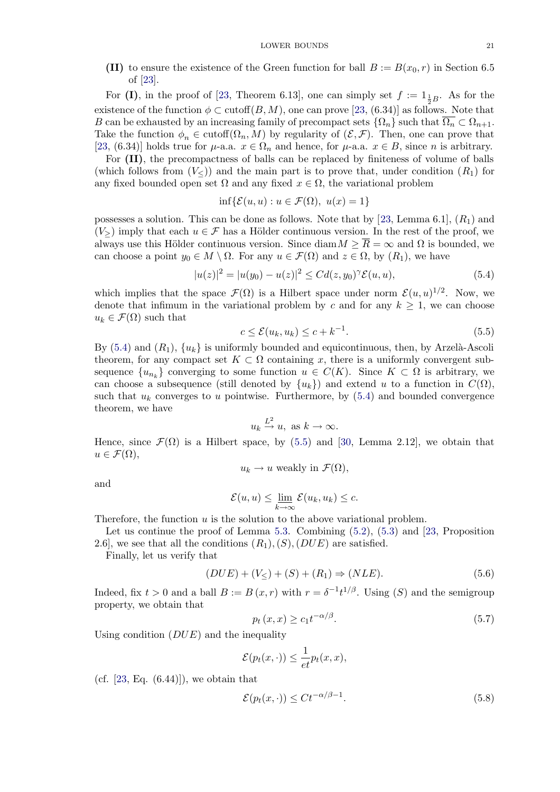(II) to ensure the existence of the Green function for ball  $B := B(x_0, r)$  in Section 6.5 of [23].

<span id="page-20-0"></span>For (I), in the proof of [23, Theorem 6.13], one can simply set  $f := 1_{\frac{1}{2}B}$ . As for the existence of the function  $\phi \subset \text{cutoff}(B, M)$ , one can prove [23, (6.34)] as follows. Note that B can be e[xha](#page-24-0)usted by an increasing family of precompact sets  $\{\Omega_n\}$  such that  $\Omega_n \subset \Omega_{n+1}$ . Take the function  $\phi_n \in \text{cutoff}(\Omega_n, M)$  by regularity of  $(\mathcal{E}, \mathcal{F})$ . Then, one can prove that [23, (6.34)] holds true for  $\mu$ [-a.a](#page-24-0).  $x \in \Omega_n$  and hence, for  $\mu$ -a.a.  $x \in B$ , since n is arbitrary.

For (II), the precompactness of balls can be replaced [by](#page-24-0) finiteness of volume of balls (which follows from  $(V<sub>></sub>)$ ) and the main part is to prove that, under condition  $(R<sub>1</sub>)$  for any fixed bounded open set  $\Omega$  and any fixed  $x \in \Omega$ , the variational problem

$$
\inf \{ \mathcal{E}(u, u) : u \in \mathcal{F}(\Omega), \ u(x) = 1 \}
$$

possesses a solution. This can be done as follows. Note that by [23, Lemma 6.1],  $(R_1)$  and  $(V>$ ) imply that each  $u \in \mathcal{F}$  has a Hölder continuous version. In the rest of the proof, we always use this Hölder continuous version. Since  $\text{diam } M \geq \overline{R} = \infty$  and  $\Omega$  is bounded, we can choose a point  $y_0 \in M \setminus \Omega$ . For any  $u \in \mathcal{F}(\Omega)$  and  $z \in \Omega$ , by  $(R_1)$ , we have

$$
|u(z)|^2 = |u(y_0) - u(z)|^2 \le C d(z, y_0)^\gamma \mathcal{E}(u, u), \tag{5.4}
$$

which implies that the space  $\mathcal{F}(\Omega)$  is a Hilbert space under norm  $\mathcal{E}(u, u)^{1/2}$ . Now, we denote that infimum in the variational problem by c and for any  $k \geq 1$ , we can choose  $u_k \in \mathcal{F}(\Omega)$  such that

$$
c \le \mathcal{E}(u_k, u_k) \le c + k^{-1}.\tag{5.5}
$$

By (5.4) and  $(R_1)$ ,  $\{u_k\}$  is uniformly bounded and equicontinuous, then, by Arzelà-Ascoli theorem, for any compact set  $K \subset \Omega$  containing x, there is a uniformly convergent subsequence  ${u_{n_k}}$  converging to some function  $u \in C(K)$ . Since  $K \subset \Omega$  is arbitrary, we can choose a subsequence (still denoted by  $\{u_k\}$ ) and extend u to a function in  $C(\Omega)$ , such that  $u_k$  converges to u pointwise. Furthermore, by  $(5.4)$  and bounded convergence theorem, we have

$$
u_k \stackrel{L^2}{\to} u, \text{ as } k \to \infty.
$$

Hence, since  $\mathcal{F}(\Omega)$  is a Hilbert space, by (5.5) and [30, Lemma 2.12], we obtain that  $u \in \mathcal{F}(\Omega),$ 

$$
u_k \to u
$$
 weakly in  $\mathcal{F}(\Omega)$ ,

and

$$
\mathcal{E}(u, u) \le \underline{\lim}_{k \to \infty} \mathcal{E}(u_k, u_k) \le c.
$$

Therefore, the function  $u$  is the solution to the above variational problem.

Let us continue the proof of Lemma 5.3. Combining (5.2), (5.3) and [23, Proposition 2.6, we see that all the conditions  $(R_1), (S), (DUE)$  are satisfied.

Finally, let us verify that

$$
(DUE) + (V_{\leq}) + (S) + (R_1) \Rightarrow (NLE). \tag{5.6}
$$

Indeed, fix  $t > 0$  and a ball  $B := B(x, r)$  with  $r = \delta^{-1} t^{1/\beta}$ . Using  $(S)$  and the semigroup property, we obtain that

$$
p_t(x,x) \ge c_1 t^{-\alpha/\beta}.\tag{5.7}
$$

Using condition  $(DUE)$  and the inequality

$$
\mathcal{E}(p_t(x,\cdot)) \le \frac{1}{et}p_t(x,x),
$$

(cf.  $[23, Eq. (6.44)]$ ), we obtain that

$$
\mathcal{E}(p_t(x,\cdot)) \le C t^{-\alpha/\beta - 1}.\tag{5.8}
$$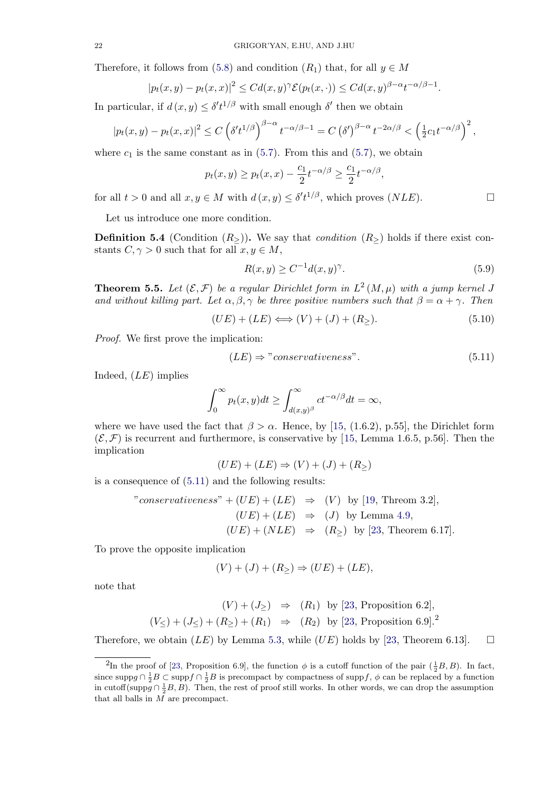<span id="page-21-0"></span>Therefore, it follows from (5.8) and condition  $(R_1)$  that, for all  $y \in M$ 

$$
|p_t(x,y)-p_t(x,x)|^2 \leq C d(x,y)^\gamma \mathcal{E}(p_t(x,\cdot)) \leq C d(x,y)^{\beta-\alpha} t^{-\alpha/\beta-1}.
$$

In par[t](#page-20-0)icular, if  $d(x, y) \leq \delta' t^{1/\beta}$  with small enough  $\delta'$  then we obtain

$$
|p_t(x,y)-p_t(x,x)|^2 \le C \left(\delta' t^{1/\beta}\right)^{\beta-\alpha} t^{-\alpha/\beta-1} = C \left(\delta'\right)^{\beta-\alpha} t^{-2\alpha/\beta} < \left(\frac{1}{2}c_1 t^{-\alpha/\beta}\right)^2,
$$

where  $c_1$  is the same constant as in (5.7). From this and (5.7), we obtain

$$
p_t(x,y) \ge p_t(x,x) - \frac{c_1}{2} t^{-\alpha/\beta} \ge \frac{c_1}{2} t^{-\alpha/\beta},
$$

for all  $t > 0$  and all  $x, y \in M$  $x, y \in M$  with  $d(x, y) \leq \delta' t^{1/\beta}$ , which [pro](#page-20-0)ves  $(NLE)$ .

Let us introduce one more condition.

**Definition 5.4** (Condition  $(R_>)$ ). We say that *condition*  $(R_>)$  holds if there exist constants  $C, \gamma > 0$  such that for all  $x, y \in M$ ,

$$
R(x, y) \ge C^{-1} d(x, y)^\gamma. \tag{5.9}
$$

**Theorem 5.5.** Let  $(\mathcal{E}, \mathcal{F})$  be a regular Dirichlet form in  $L^2(M, \mu)$  with a jump kernel J and without killing part. Let  $\alpha, \beta, \gamma$  be three positive numbers such that  $\beta = \alpha + \gamma$ . Then

$$
(UE) + (LE) \Longleftrightarrow (V) + (J) + (R_{\geq}). \tag{5.10}
$$

Proof. We first prove the implication:

$$
(LE) \Rightarrow "conservativeness". \tag{5.11}
$$

Indeed,  $(LE)$  implies

$$
\int_0^\infty p_t(x,y)dt \ge \int_{d(x,y)^\beta}^\infty ct^{-\alpha/\beta}dt = \infty,
$$

where we have used the fact that  $\beta > \alpha$ . Hence, by [15, (1.6.2), p.55], the Dirichlet form  $(\mathcal{E}, \mathcal{F})$  is recurrent and furthermore, is conservative by [15, Lemma 1.6.5, p.56]. Then the implication

$$
(UE) + (LE) \Rightarrow (V) + (J) + (R_{\ge})
$$

is a consequence of (5.11) and the following results:

"conservativeness" + 
$$
(UE) + (LE) \Rightarrow (V)
$$
 by [19, Theom 3.2],  
\n
$$
(UE) + (LE) \Rightarrow (J)
$$
 by Lemma 4.9,  
\n
$$
(UE) + (NLE) \Rightarrow (R_{\ge})
$$
 by [23, Theorem 6.17].

To prove the opposite implication

$$
(V) + (J) + (R_{\geq}) \Rightarrow (UE) + (LE),
$$

note that

$$
(V) + (J_{\ge}) \Rightarrow (R_1) \text{ by [23, Proposition 6.2]},
$$
  

$$
(V_{\le}) + (J_{\le}) + (R_{\ge}) + (R_1) \Rightarrow (R_2) \text{ by [23, Proposition 6.9].}^2
$$

Therefore, we obtain  $(LE)$  by Lemma 5.3, while  $(UE)$  holds by [23, Theorem 6.13].  $\Box$ 

<sup>&</sup>lt;sup>2</sup>In the proof of [23, Proposition 6.9], the function  $\phi$  is a cuto[ff fu](#page-24-0)nction of the pair  $(\frac{1}{2}B, B)$ . In fact, since supp $g \cap \frac{1}{2}B \subset \text{supp} f \cap \frac{1}{2}B$  is precompact by compactness of supp f,  $\phi$  can be replaced by a function in cutoff(suppg  $\cap \frac{1}{2}B, B$ ). Then, the rest of p[roof](#page-19-0) still works. In other words, [we](#page-24-0) can drop the assumption that all balls in M are precompact.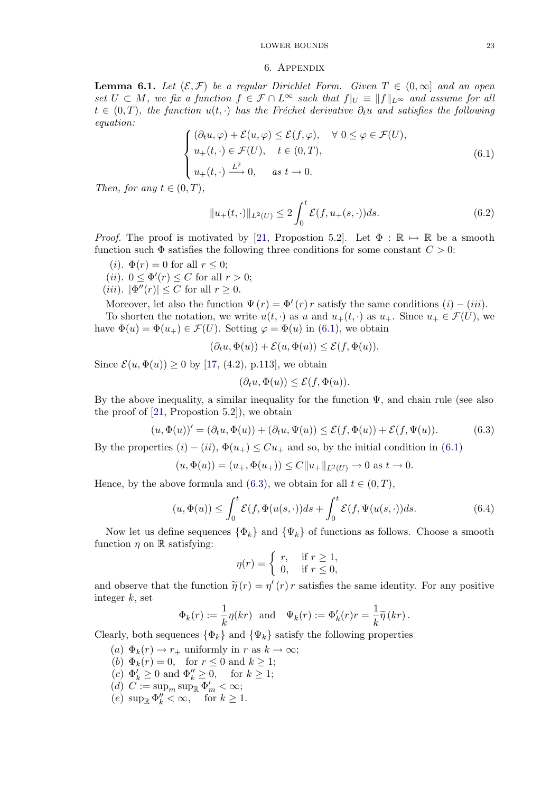# LOWER BOUNDS 23

# 6. Appendix

<span id="page-22-0"></span>**Lemma 6.1.** Let  $(\mathcal{E}, \mathcal{F})$  be a regular Dirichlet Form. Given  $T \in (0, \infty]$  and an open set  $U \subset M$ , we fix a function  $f \in \mathcal{F} \cap L^{\infty}$  such that  $f|_{U} \equiv ||f||_{L^{\infty}}$  and assume for all  $t \in (0,T)$ , the function  $u(t, \cdot)$  has the Fréchet derivative  $\partial_t u$  and satisfies the following equation:

$$
\begin{cases}\n(\partial_t u, \varphi) + \mathcal{E}(u, \varphi) \le \mathcal{E}(f, \varphi), & \forall \ 0 \le \varphi \in \mathcal{F}(U), \\
u_+(t, \cdot) \in \mathcal{F}(U), & t \in (0, T), \\
u_+(t, \cdot) \xrightarrow{L^2} 0, & as \ t \to 0.\n\end{cases}
$$
\n(6.1)

Then, for any  $t \in (0, T)$ ,

$$
||u_{+}(t,\cdot)||_{L^{2}(U)} \leq 2\int_{0}^{t} \mathcal{E}(f, u_{+}(s,\cdot))ds.
$$
 (6.2)

*Proof.* The proof is motivated by [21, Propostion 5.2]. Let  $\Phi : \mathbb{R} \mapsto \mathbb{R}$  be a smooth function such  $\Phi$  satisfies the following three conditions for some constant  $C > 0$ :

- (*i*).  $\Phi(r) = 0$  for all  $r \leq 0$ ;
- (*ii*).  $0 \leq \Phi'(r) \leq C$  for all  $r > 0$ ;
- (*iii*).  $|\Phi''(r)| \leq C$  for all  $r \geq 0$ .

Moreover, let also the function  $\Psi(r) = \Phi'(r) r$  satisfy the same conditions  $(i) - (iii)$ .

To shorten the notation, we write  $u(t, \cdot)$  as u and  $u_+(t, \cdot)$  as  $u_+$ . Since  $u_+ \in \mathcal{F}(U)$ , we have  $\Phi(u) = \Phi(u_+) \in \mathcal{F}(U)$ . Setting  $\varphi = \Phi(u)$  in (6.1), we obtain

$$
(\partial_t u, \Phi(u)) + \mathcal{E}(u, \Phi(u)) \le \mathcal{E}(f, \Phi(u)).
$$

Since  $\mathcal{E}(u, \Phi(u)) \ge 0$  by [17, (4.2), p.113], we obtain

$$
(\partial_t u, \Phi(u)) \le \mathcal{E}(f, \Phi(u)).
$$

By the above inequality, a similar inequality for the function  $\Psi$ , and chain rule (see also the proof of [21, Propost[ion](#page-24-0) 5.2]), we obtain

$$
(u, \Phi(u))' = (\partial_t u, \Phi(u)) + (\partial_t u, \Psi(u)) \le \mathcal{E}(f, \Phi(u)) + \mathcal{E}(f, \Psi(u)).
$$
\n(6.3)

By the properties  $(i) - (ii)$ ,  $\Phi(u_+) \leq Cu_+$  and so, by the initial condition in (6.1)

$$
(u, \Phi(u)) = (u_+, \Phi(u_+)) \le C ||u_+||_{L^2(U)} \to 0 \text{ as } t \to 0.
$$

Hence, by the above formula and (6.3), we obtain for all  $t \in (0, T)$ ,

$$
(u, \Phi(u)) \le \int_0^t \mathcal{E}(f, \Phi(u(s, \cdot))ds + \int_0^t \mathcal{E}(f, \Psi(u(s, \cdot))ds. \tag{6.4}
$$

Now let us define sequences  $\{\Phi_k\}$  and  $\{\Psi_k\}$  of functions as follows. Choose a smooth function  $\eta$  on  $\mathbb R$  satisfying:

$$
\eta(r) = \begin{cases} r, & \text{if } r \ge 1, \\ 0, & \text{if } r \le 0, \end{cases}
$$

and observe that the function  $\tilde{\eta}(r) = \eta'(r) r$  satisfies the same identity. For any positive integer  $k$ , set

$$
\Phi_k(r) := \frac{1}{k}\eta(kr)
$$
 and  $\Psi_k(r) := \Phi'_k(r)r = \frac{1}{k}\tilde{\eta}(kr)$ .

Clearly, both sequences  $\{\Phi_k\}$  and  $\{\Psi_k\}$  satisfy the following properties

- (a)  $\Phi_k(r) \to r_+$  uniformly in r as  $k \to \infty$ ;
- (b)  $\Phi_k(r) = 0$ , for  $r \leq 0$  and  $k \geq 1$ ;
- $(c) \Phi'_k \geq 0$  and  $\Phi''_k \geq 0$ , for  $k \geq 1$ ;
- (d)  $C := \sup_m \sup \Phi'_m < \infty;$
- (e)  $\sup_{\mathbb{R}} \Phi''_k < \infty$ , for  $k \geq 1$ .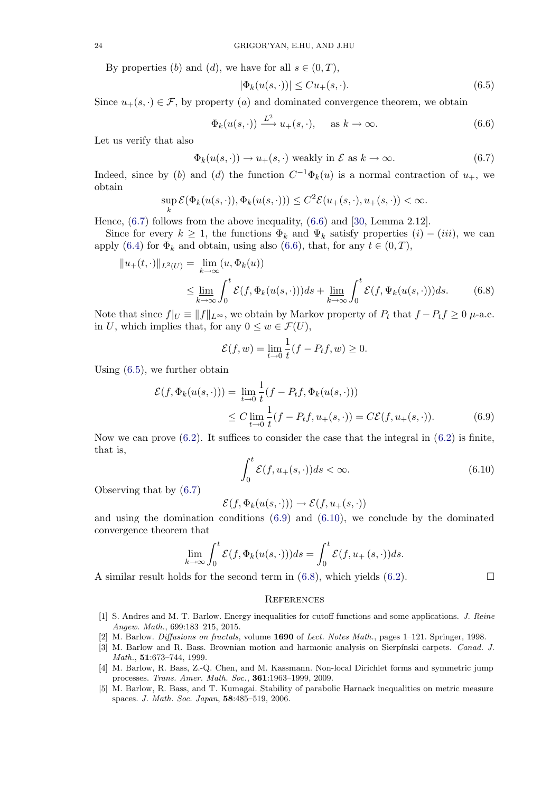<span id="page-23-0"></span>By properties (b) and (d), we have for all  $s \in (0, T)$ ,

$$
|\Phi_k(u(s,\cdot))| \leq Cu_+(s,\cdot). \tag{6.5}
$$

Since  $u_+(s, \cdot) \in \mathcal{F}$ , by property (a) and dominated convergence theorem, we obtain

$$
\Phi_k(u(s,\cdot)) \xrightarrow{L^2} u_+(s,\cdot), \quad \text{as } k \to \infty. \tag{6.6}
$$

Let us verify that also

$$
\Phi_k(u(s, \cdot)) \to u_+(s, \cdot) \text{ weakly in } \mathcal{E} \text{ as } k \to \infty. \tag{6.7}
$$

Indeed, since by (b) and (d) the function  $C^{-1}\Phi_k(u)$  is a normal contraction of  $u_+$ , we obtain

$$
\sup_{k} \mathcal{E}(\Phi_k(u(s,\cdot)), \Phi_k(u(s,\cdot))) \le C^2 \mathcal{E}(u_+(s,\cdot), u_+(s,\cdot)) < \infty.
$$

Hence, (6.7) follows from the above inequality, (6.6) and [30, Lemma 2.12].

Since for every  $k \geq 1$ , the functions  $\Phi_k$  and  $\Psi_k$  satisfy properties  $(i) - (iii)$ , we can apply (6.4) for  $\Phi_k$  and obtain, using also (6.6), that, for any  $t \in (0,T)$ ,

$$
||u_{+}(t,\cdot)||_{L^{2}(U)} = \lim_{k \to \infty} (u, \Phi_{k}(u))
$$
  

$$
\leq \lim_{k \to \infty} \int_{0}^{t} \mathcal{E}(f, \Phi_{k}(u(s,\cdot)))ds + \lim_{k \to \infty} \int_{0}^{t} \mathcal{E}(f, \Psi_{k}(u(s,\cdot)))ds. \tag{6.8}
$$

Note that since  $f|_U \equiv ||f||_{L^{\infty}}$ , we obtain by Markov property of  $P_t$  that  $f - P_t f \geq 0$   $\mu$ -a.e. in U, which implies that, for any  $0 \leq w \in \mathcal{F}(U)$ ,

$$
\mathcal{E}(f, w) = \lim_{t \to 0} \frac{1}{t}(f - P_t f, w) \ge 0.
$$

Using (6.5), we further obtain

$$
\mathcal{E}(f, \Phi_k(u(s, \cdot))) = \lim_{t \to 0} \frac{1}{t} (f - P_t f, \Phi_k(u(s, \cdot)))
$$
  
 
$$
\leq C \lim_{t \to 0} \frac{1}{t} (f - P_t f, u_+(s, \cdot)) = C \mathcal{E}(f, u_+(s, \cdot)). \tag{6.9}
$$

Now we can prove  $(6.2)$ . It suffices to consider the case that the integral in  $(6.2)$  is finite, that is,

$$
\int_0^t \mathcal{E}(f, u_+(s, \cdot))ds < \infty.
$$
\n(6.10)

Observing that by [\(6.7](#page-22-0))

$$
\mathcal{E}(f, \Phi_k(u(s, \cdot))) \to \mathcal{E}(f, u_+(s, \cdot))
$$

and using the domination conditions  $(6.9)$  and  $(6.10)$ , we conclude by the dominated convergence theorem that

$$
\lim_{k \to \infty} \int_0^t \mathcal{E}(f, \Phi_k(u(s, \cdot))) ds = \int_0^t \mathcal{E}(f, u_+(s, \cdot)) ds.
$$

A similar result holds for the second term in  $(6.8)$ , which yields  $(6.2)$ .

#### **REFERENCES**

- [1] S. Andres and M. T. Barlow. Energy inequalities for cutoff functions and [som](#page-22-0)e applications. J. Reine Angew. Math., 699:183–215, 2015.
- [2] M. Barlow. Diffusions on fractals, volume 1690 of Lect. Notes Math., pages 1–121. Springer, 1998.
- [3] M. Barlow and R. Bass. Brownian motion and harmonic analysis on Sierpínski carpets. Canad. J. Math., 51:673-744, 1999.
- [4] M. Barlow, R. Bass, Z.-Q. Chen, and M. Kassmann. Non-local Dirichlet forms and symmetric jump processes. Trans. Amer. Math. Soc., 361:1963-1999, 2009.
- [5] M. Barlow, R. Bass, and T. Kumagai. Stability of parabolic Harnack inequalities on metric measure spaces. J. Math. Soc. Japan, 58:485–519, 2006.